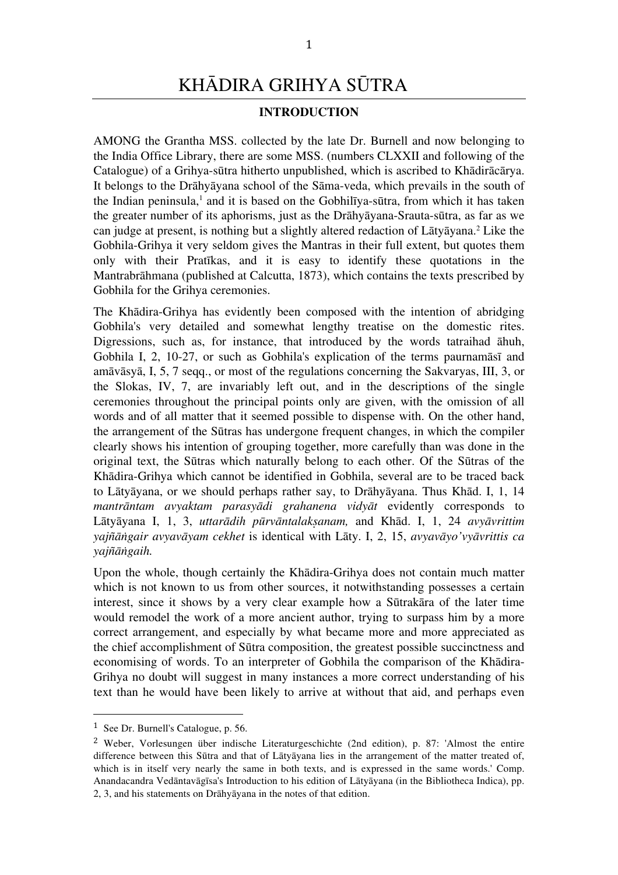# KHĀDIRA GRIHYA SŪTRA

## **INTRODUCTION**

AMONG the Grantha MSS. collected by the late Dr. Burnell and now belonging to the India Office Library, there are some MSS. (numbers CLXXII and following of the Catalogue) of a Grihya-sūtra hitherto unpublished, which is ascribed to Khādirācārya. It belongs to the Drāhyāyana school of the Sāma-veda, which prevails in the south of the Indian peninsula, <sup>1</sup> and it is based on the Gobhilīya-sūtra, from which it has taken the greater number of its aphorisms, just as the Drāhyāyana-Srauta-sūtra, as far as we can judge at present, is nothing but a slightly altered redaction of Lātyāyana. <sup>2</sup> Like the Gobhila-Grihya it very seldom gives the Mantras in their full extent, but quotes them only with their Pratīkas, and it is easy to identify these quotations in the Mantrabrāhmana (published at Calcutta, 1873), which contains the texts prescribed by Gobhila for the Grihya ceremonies.

The Khādira-Grihya has evidently been composed with the intention of abridging Gobhila's very detailed and somewhat lengthy treatise on the domestic rites. Digressions, such as, for instance, that introduced by the words tatraihad āhuh, Gobhila I, 2, 10-27, or such as Gobhila's explication of the terms paurnamāsī and amāvāsyā, I, 5, 7 seqq., or most of the regulations concerning the Sakvaryas, III, 3, or the Slokas, IV, 7, are invariably left out, and in the descriptions of the single ceremonies throughout the principal points only are given, with the omission of all words and of all matter that it seemed possible to dispense with. On the other hand, the arrangement of the Sūtras has undergone frequent changes, in which the compiler clearly shows his intention of grouping together, more carefully than was done in the original text, the Sūtras which naturally belong to each other. Of the Sūtras of the Khādira-Grihya which cannot be identified in Gobhila, several are to be traced back to Lātyāyana, or we should perhaps rather say, to Drāhyāyana. Thus Khād. I, 1, 14 *mantrāntam avyaktam parasyādi grahanena vidyāt* evidently corresponds to Lātyāyana I, 1, 3, *uttarādih pūrvāntalakṣanam,* and Khād. I, 1, 24 *avyāvrittim yajñāṅgair avyavāyam cekhet* is identical with Lāty. I, 2, 15, *avyavāyo'vyāvrittis ca yajñāṅgaih.*

Upon the whole, though certainly the Khādira-Grihya does not contain much matter which is not known to us from other sources, it notwithstanding possesses a certain interest, since it shows by a very clear example how a Sūtrakāra of the later time would remodel the work of a more ancient author, trying to surpass him by a more correct arrangement, and especially by what became more and more appreciated as the chief accomplishment of Sūtra composition, the greatest possible succinctness and economising of words. To an interpreter of Gobhila the comparison of the Khādira-Grihya no doubt will suggest in many instances a more correct understanding of his text than he would have been likely to arrive at without that aid, and perhaps even

 <sup>1</sup> See Dr. Burnell's Catalogue, p. 56.

<sup>2</sup> Weber, Vorlesungen über indische Literaturgeschichte (2nd edition), p. 87: 'Almost the entire difference between this Sūtra and that of Lātyāyana lies in the arrangement of the matter treated of, which is in itself very nearly the same in both texts, and is expressed in the same words.' Comp. Anandacandra Vedāntavāgīsa's Introduction to his edition of Lātyāyana (in the Bibliotheca Indica), pp. 2, 3, and his statements on Drāhyāyana in the notes of that edition.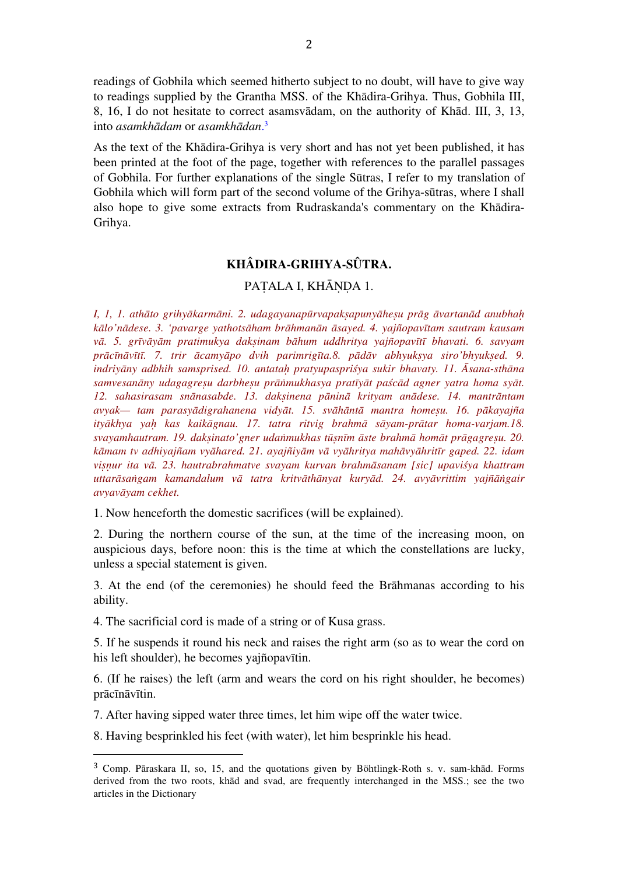readings of Gobhila which seemed hitherto subject to no doubt, will have to give way to readings supplied by the Grantha MSS. of the Khādira-Grihya. Thus, Gobhila III, 8, 16, I do not hesitate to correct asamsvādam, on the authority of Khād. III, 3, 13, into *asamkhādam* or *asamkhādan*. 3

As the text of the Khādira-Grihya is very short and has not yet been published, it has been printed at the foot of the page, together with references to the parallel passages of Gobhila. For further explanations of the single Sūtras, I refer to my translation of Gobhila which will form part of the second volume of the Grihya-sūtras, where I shall also hope to give some extracts from Rudraskanda's commentary on the Khādira-Grihya.

# **KHÂDIRA-GRIHYA-SÛTRA.**

# PATALA I, KHĀNDA 1.

I, I, I. athāto grihvākarmāni. 2. udagayanapūrvapaksapunyāhesu prāg āvartanād anubhah *kālo'nādese. 3. 'pavarge yathotsāham brāhmanān āsayed. 4. yajñopavītam sautram kausam vā. 5. grīvāyām pratimukya dakṣinam bāhum uddhritya yajñopavītī bhavati. 6. savyam*  prācīnāvītī. 7. trir ācamyāpo dvih parimrigīta.8. pādāv abhyuksya siro'bhyuksed. 9. *indriyāny adbhih samsprised. 10. antataḥ pratyupaspriśya sukir bhavaty. 11. Āsana-sthāna samvesanāny udagagreṣu darbheṣu prāṅmukhasya pratīyāt paścād agner yatra homa syāt. 12. sahasirasam snānasabde. 13. dakṣinena pāninā krityam anādese. 14. mantrāntam avyak— tam parasyādigrahanena vidyāt. 15. svāhāntā mantra homeṣu. 16. pākayajña ityākhya yaḥ kas kaikāgnau. 17. tatra ritvig brahmā sāyam-prātar homa-varjam.18. svayamhautram. 19. dakṣinato'gner udaṅmukhas tūṣnīm āste brahmā homāt prāgagreṣu. 20. kāmam tv adhiyajñam vyāhared. 21. ayajñiyām vā vyāhritya mahāvyāhritīr gaped. 22. idam viṣṇur ita vā. 23. hautrabrahmatve svayam kurvan brahmāsanam [sic] upaviśya khattram uttarāsaṅgam kamandalum vā tatra kritvāthānyat kuryād. 24. avyāvrittim yajñāṅgair avyavāyam cekhet.*

1. Now henceforth the domestic sacrifices (will be explained).

2. During the northern course of the sun, at the time of the increasing moon, on auspicious days, before noon: this is the time at which the constellations are lucky, unless a special statement is given.

3. At the end (of the ceremonies) he should feed the Brāhmanas according to his ability.

4. The sacrificial cord is made of a string or of Kusa grass.

 

5. If he suspends it round his neck and raises the right arm (so as to wear the cord on his left shoulder), he becomes yajñopavītin.

6. (If he raises) the left (arm and wears the cord on his right shoulder, he becomes) prācīnāvītin.

7. After having sipped water three times, let him wipe off the water twice.

8. Having besprinkled his feet (with water), let him besprinkle his head.

<sup>3</sup> Comp. Pāraskara II, so, 15, and the quotations given by Böhtlingk-Roth s. v. sam-khād. Forms derived from the two roots, khād and svad, are frequently interchanged in the MSS.; see the two articles in the Dictionary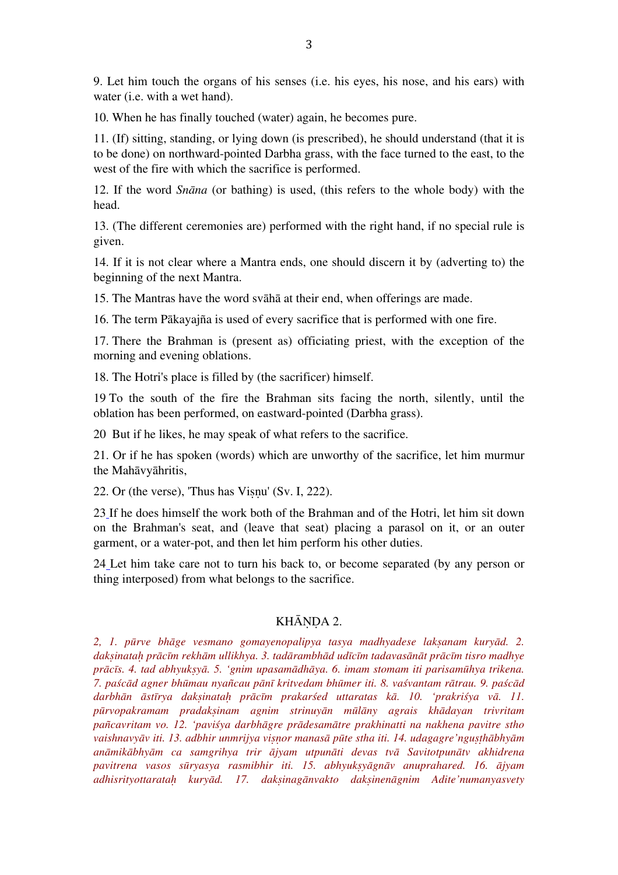9. Let him touch the organs of his senses (i.e. his eyes, his nose, and his ears) with water (i.e. with a wet hand).

10. When he has finally touched (water) again, he becomes pure.

11. (If) sitting, standing, or lying down (is prescribed), he should understand (that it is to be done) on northward-pointed Darbha grass, with the face turned to the east, to the west of the fire with which the sacrifice is performed.

12. If the word *Snāna* (or bathing) is used, (this refers to the whole body) with the head.

13. (The different ceremonies are) performed with the right hand, if no special rule is given.

14. If it is not clear where a Mantra ends, one should discern it by (adverting to) the beginning of the next Mantra.

15. The Mantras have the word svāhā at their end, when offerings are made.

16. The term Pākayajña is used of every sacrifice that is performed with one fire.

17. There the Brahman is (present as) officiating priest, with the exception of the morning and evening oblations.

18. The Hotri's place is filled by (the sacrificer) himself.

19 To the south of the fire the Brahman sits facing the north, silently, until the oblation has been performed, on eastward-pointed (Darbha grass).

20 But if he likes, he may speak of what refers to the sacrifice.

21. Or if he has spoken (words) which are unworthy of the sacrifice, let him murmur the Mahāvyāhritis,

22. Or (the verse), 'Thus has Viṣṇu' (Sv. I, 222).

23 If he does himself the work both of the Brahman and of the Hotri, let him sit down on the Brahman's seat, and (leave that seat) placing a parasol on it, or an outer garment, or a water-pot, and then let him perform his other duties.

24 Let him take care not to turn his back to, or become separated (by any person or thing interposed) from what belongs to the sacrifice.

#### KHĀNDA 2.

*2, 1. pūrve bhāge vesmano gomayenopalipya tasya madhyadese lakṣanam kuryād. 2.*  daksinatah prācīm rekhām ullikhya. 3. tadārambhād udīcīm tadavasānāt prācīm tisro madhye *prācīs. 4. tad abhyukṣyā. 5. 'gnim upasamādhāya. 6. imam stomam iti parisamūhya trikena.*  7. paścād agner bhūmau nyañcau pānī kritvedam bhūmer iti. 8. vaśvantam rātrau. 9. paścād darbhān āstīrya daksinatah prācīm prakarśed uttaratas kā. 10. 'prakriśya vā. 11. *pūrvopakramam pradakṣinam agnim strinuyān mūlāny agrais khādayan trivritam pañcavritam vo. 12. 'paviśya darbhāgre prādesamātre prakhinatti na nakhena pavitre stho vaishnavyāv iti. 13. adbhir unmrijya viṣṇor manasā pūte stha iti. 14. udagagre'nguṣṭhābhyām anāmikābhyām ca samgrihya trir ājyam utpunāti devas tvā Savitotpunātv akhidrena pavitrena vasos sūryasya rasmibhir iti. 15. abhyukṣyāgnāv anuprahared. 16. ājyam adhisrityottarataḥ kuryād. 17. dakṣinagānvakto dakṣinenāgnim Adite'numanyasvety*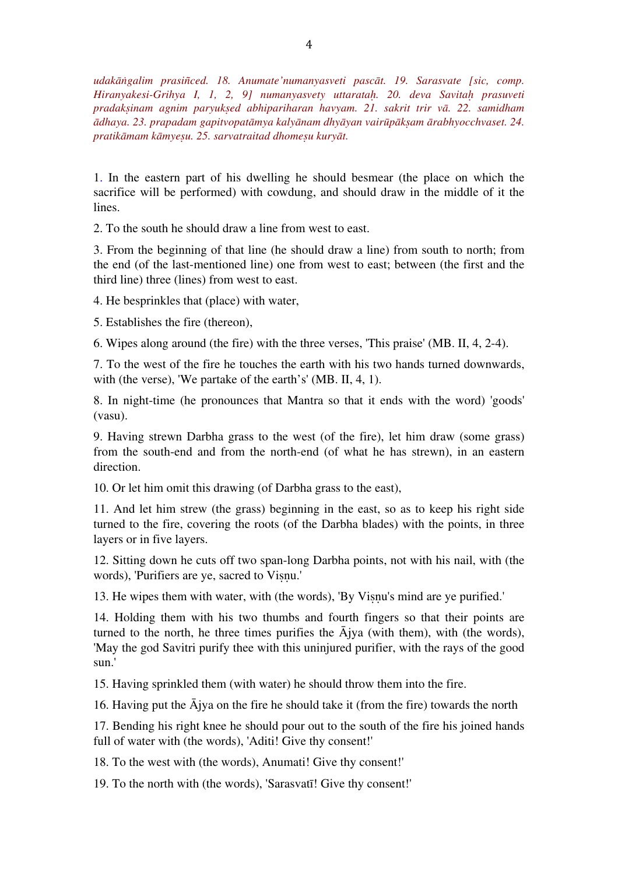*udakāṅgalim prasiñced. 18. Anumate'numanyasveti pascāt. 19. Sarasvate [sic, comp. Hiranyakesi-Grihya I, 1, 2, 9] numanyasvety uttarataḥ. 20. deva Savitaḥ prasuveti pradakṣinam agnim paryukṣed abhipariharan havyam. 21. sakrit trir vā. 22. samidham ādhaya. 23. prapadam gapitvopatāmya kalyānam dhyāyan vairūpākṣam ārabhyocchvaset. 24. pratikāmam kāmyeṣu. 25. sarvatraitad dhomeṣu kuryāt.*

1. In the eastern part of his dwelling he should besmear (the place on which the sacrifice will be performed) with cowdung, and should draw in the middle of it the lines.

2. To the south he should draw a line from west to east.

3. From the beginning of that line (he should draw a line) from south to north; from the end (of the last-mentioned line) one from west to east; between (the first and the third line) three (lines) from west to east.

4. He besprinkles that (place) with water,

5. Establishes the fire (thereon),

6. Wipes along around (the fire) with the three verses, 'This praise' (MB. II, 4, 2-4).

7. To the west of the fire he touches the earth with his two hands turned downwards, with (the verse), 'We partake of the earth's' (MB. II, 4, 1).

8. In night-time (he pronounces that Mantra so that it ends with the word) 'goods' (vasu).

9. Having strewn Darbha grass to the west (of the fire), let him draw (some grass) from the south-end and from the north-end (of what he has strewn), in an eastern direction.

10. Or let him omit this drawing (of Darbha grass to the east),

11. And let him strew (the grass) beginning in the east, so as to keep his right side turned to the fire, covering the roots (of the Darbha blades) with the points, in three layers or in five layers.

12. Sitting down he cuts off two span-long Darbha points, not with his nail, with (the words), 'Purifiers are ye, sacred to Viṣṇu.'

13. He wipes them with water, with (the words), 'By Viṣṇu's mind are ye purified.'

14. Holding them with his two thumbs and fourth fingers so that their points are turned to the north, he three times purifies the  $\overline{A}$ jya (with them), with (the words), 'May the god Savitri purify thee with this uninjured purifier, with the rays of the good sun.'

15. Having sprinkled them (with water) he should throw them into the fire.

16. Having put the  $\bar{A}$ jya on the fire he should take it (from the fire) towards the north

17. Bending his right knee he should pour out to the south of the fire his joined hands full of water with (the words), 'Aditi! Give thy consent!'

18. To the west with (the words), Anumati! Give thy consent!'

19. To the north with (the words), 'Sarasvatī! Give thy consent!'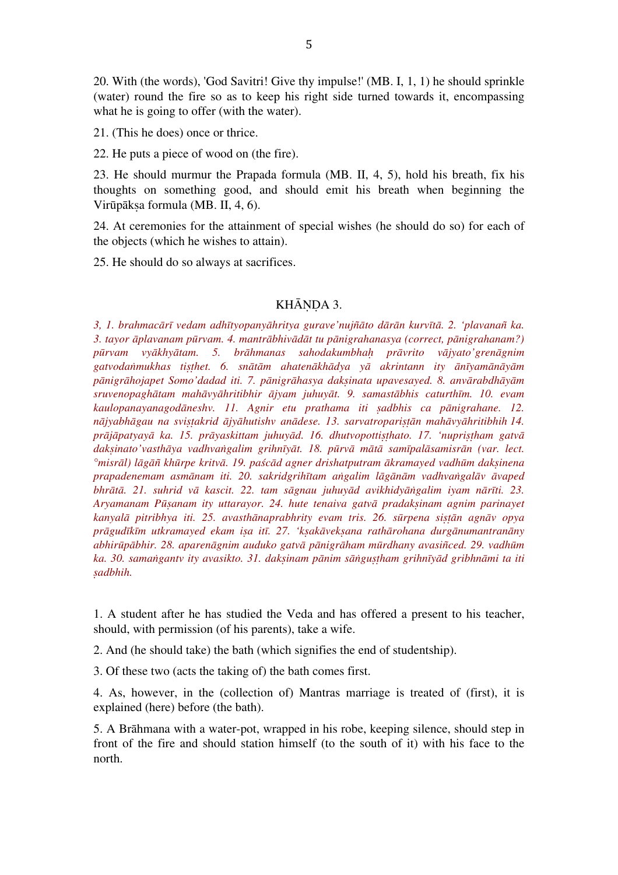20. With (the words), 'God Savitri! Give thy impulse!' (MB. I, 1, 1) he should sprinkle (water) round the fire so as to keep his right side turned towards it, encompassing what he is going to offer (with the water).

21. (This he does) once or thrice.

22. He puts a piece of wood on (the fire).

23. He should murmur the Prapada formula (MB. II, 4, 5), hold his breath, fix his thoughts on something good, and should emit his breath when beginning the Virūpākṣa formula (MB. II, 4, 6).

24. At ceremonies for the attainment of special wishes (he should do so) for each of the objects (which he wishes to attain).

25. He should do so always at sacrifices.

# KHĀNDA 3.

*3, 1. brahmacārī vedam adhītyopanyāhritya gurave'nujñāto dārān kurvītā. 2. 'plavanañ ka. 3. tayor āplavanam pūrvam. 4. mantrābhivādāt tu pānigrahanasya (correct, pānigrahanam?) pūrvam vyākhyātam. 5. brāhmanas sahodakumbhaḥ prāvrito vājyato'grenāgnim*  gatvodanmukhas tisthet. 6. snātām ahatenākhādya yā akrintann ity ānīyamānāyām *pānigrāhojapet Somo'dadad iti. 7. pānigrāhasya dakṣinata upavesayed. 8. anvārabdhāyām sruvenopaghātam mahāvyāhritibhir ājyam juhuyāt. 9. samastābhis caturthīm. 10. evam kaulopanayanagodāneshv. 11. Agnir etu prathama iti ṣadbhis ca pānigrahane. 12.*  nājyabhāgau na svistakrid ājyāhutishv anādese. 13. sarvatroparistān mahāvyāhritibhih 14. *prājāpatyayā ka. 15. prāyaskittam juhuyād. 16. dhutvopottiṣṭhato. 17. 'nupriṣṭham gatvā* daksinato'vasthāya vadhvangalim grihnīyāt. 18. pūrvā mātā samīpalāsamisrān (var. lect. °misrāl) lāgāñ khūrpe kritvā. 19. paścād agner drishatputram ākramayed vadhūm daksinena *prapadenemam asmānam iti. 20. sakridgrihītam aṅgalim lāgānām vadhvaṅgalāv āvaped bhrātā. 21. suhrid vā kascit. 22. tam sāgnau juhuyād avikhidyāṅgalim iyam nārīti. 23. Aryamanam Pūṣanam ity uttarayor. 24. hute tenaiva gatvā pradakṣinam agnim parinayet kanyalā pitribhya iti. 25. avasthānaprabhrity evam tris. 26. sūrpena siṣṭān agnāv opya*  prāgudīkīm utkramayed ekam isa itī. 27. 'ksakāveksana rathārohana durgānumantranāny *abhirūpābhir. 28. aparenāgnim auduko gatvā pānigrāham mūrdhany avasiñced. 29. vadhūm ka. 30. samaṅgantv ity avasikto. 31. dakṣinam pānim sāṅguṣṭham grihnīyād gribhnāmi ta iti ṣadbhih.*

1. A student after he has studied the Veda and has offered a present to his teacher, should, with permission (of his parents), take a wife.

2. And (he should take) the bath (which signifies the end of studentship).

3. Of these two (acts the taking of) the bath comes first.

4. As, however, in the (collection of) Mantras marriage is treated of (first), it is explained (here) before (the bath).

5. A Brāhmana with a water-pot, wrapped in his robe, keeping silence, should step in front of the fire and should station himself (to the south of it) with his face to the north.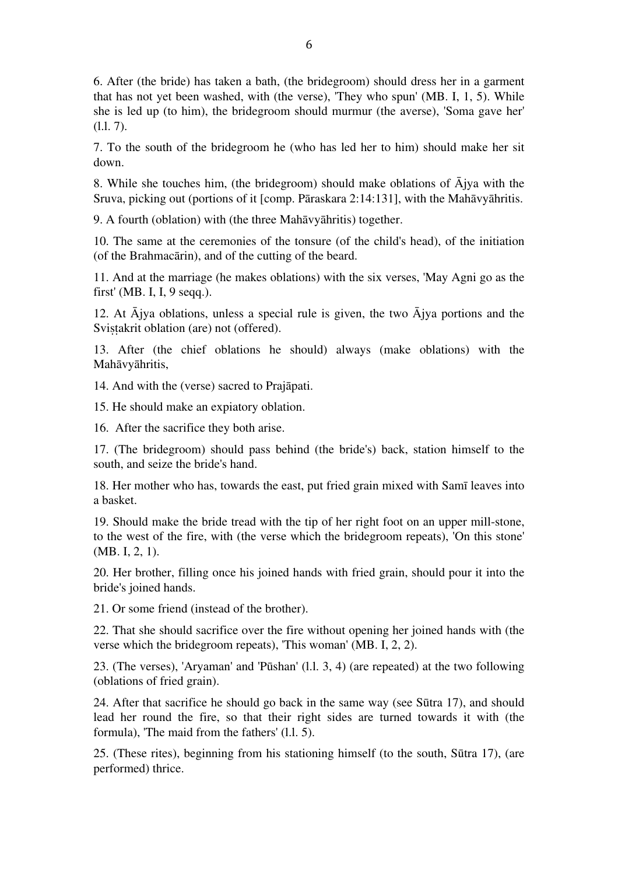6. After (the bride) has taken a bath, (the bridegroom) should dress her in a garment that has not yet been washed, with (the verse), 'They who spun' (MB. I, 1, 5). While she is led up (to him), the bridegroom should murmur (the averse), 'Soma gave her' (l.l. 7).

7. To the south of the bridegroom he (who has led her to him) should make her sit down.

8. While she touches him, (the bridegroom) should make oblations of Ājya with the Sruva, picking out (portions of it [comp. Pāraskara 2:14:131], with the Mahāvyāhritis.

9. A fourth (oblation) with (the three Mahāvyāhritis) together.

10. The same at the ceremonies of the tonsure (of the child's head), of the initiation (of the Brahmacārin), and of the cutting of the beard.

11. And at the marriage (he makes oblations) with the six verses, 'May Agni go as the first' (MB. I, I, 9 seqq.).

12. At  $\overline{A}$ jya oblations, unless a special rule is given, the two  $\overline{A}$ jya portions and the Svistakrit oblation (are) not (offered).

13. After (the chief oblations he should) always (make oblations) with the Mahāvyāhritis,

14. And with the (verse) sacred to Prajāpati.

15. He should make an expiatory oblation.

16. After the sacrifice they both arise.

17. (The bridegroom) should pass behind (the bride's) back, station himself to the south, and seize the bride's hand.

18. Her mother who has, towards the east, put fried grain mixed with Samī leaves into a basket.

19. Should make the bride tread with the tip of her right foot on an upper mill-stone, to the west of the fire, with (the verse which the bridegroom repeats), 'On this stone' (MB. I, 2, 1).

20. Her brother, filling once his joined hands with fried grain, should pour it into the bride's joined hands.

21. Or some friend (instead of the brother).

22. That she should sacrifice over the fire without opening her joined hands with (the verse which the bridegroom repeats), 'This woman' (MB. I, 2, 2).

23. (The verses), 'Aryaman' and 'Pūshan' (l.l. 3, 4) (are repeated) at the two following (oblations of fried grain).

24. After that sacrifice he should go back in the same way (see Sūtra 17), and should lead her round the fire, so that their right sides are turned towards it with (the formula), 'The maid from the fathers' (l.l. 5).

25. (These rites), beginning from his stationing himself (to the south, Sūtra 17), (are performed) thrice.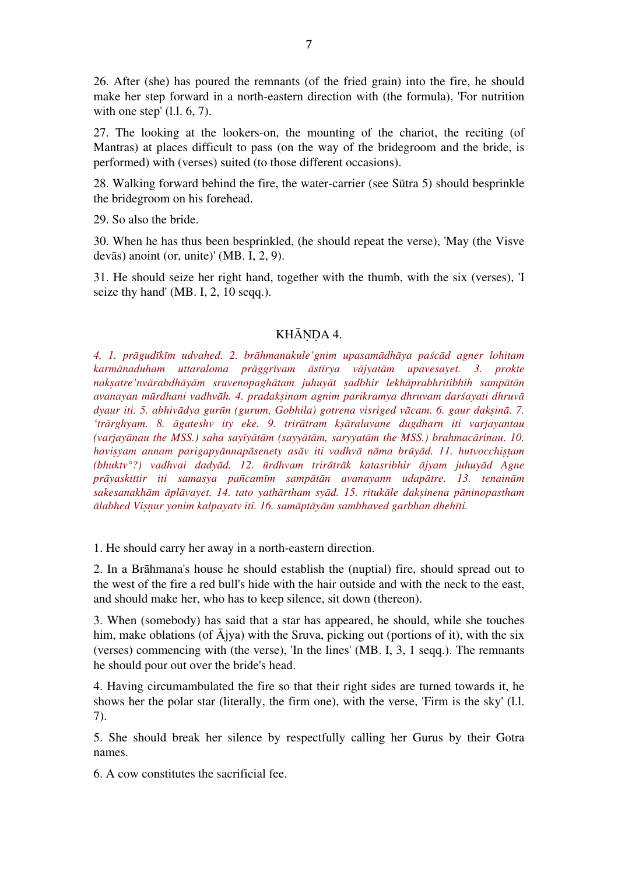26. After (she) has poured the remnants (of the fried grain) into the fire, he should make her step forward in a north-eastern direction with (the formula), 'For nutrition with one step' (l.l. 6, 7).

27. The looking at the lookers-on, the mounting of the chariot, the reciting (of Mantras) at places difficult to pass (on the way of the bridegroom and the bride, is performed) with (verses) suited (to those different occasions).

28. Walking forward behind the fire, the water-carrier (see Sūtra 5) should besprinkle the bridegroom on his forehead.

29. So also the bride.

30. When he has thus been besprinkled, (he should repeat the verse), 'May (the Visve devās) anoint (or, unite)' (MB. I, 2, 9).

31. He should seize her right hand, together with the thumb, with the six (verses), 'I seize thy hand' (MB, I, 2, 10 seqq.).

## KHĀNDA 4.

*4, 1. prāgudīkīm udvahed. 2. brāhmanakule'gnim upasamādhāya paścād agner lohitam karmānaduham uttaraloma prāggrīvam āstīrya vājyatām upavesayet. 3. prokte*  naksatre'nyārabdhāyām sruvenopaghātam juhuyāt sadbhir lekhāprabhritibhih sampātān *avanayan mūrdhani vadhvāh. 4. pradakṣinam agnim parikramya dhruvam darśayati dhruvā dyaur iti. 5. abhivādya gurūn (gurum, Gobhila) gotrena visriged vācam. 6. gaur dakṣinā. 7. 'trārghyam. 8. āgateshv ity eke. 9. trirātram kṣāralavane dugdharn iti varjayantau (varjayānau the MSS.) saha sayīyātām (sayyātām, saryyatām the MSS.) brahmacārinau. 10. haviṣyam annam parigapyānnapāsenety asāv iti vadhvā nāma brūyād. 11. hutvocchiṣṭam (bhuktv°?) vadhvai dadyād. 12. ūrdhvam trirātrāk katasribhir ājyam juhuyād Agne prāyaskittir iti samasya pañcamīm sampātān avanayann udapātre. 13. tenainām sakesanakhām āplāvayet. 14. tato yathārtham syād. 15. ritukāle dakṣinena pāninopastham ālabhed Viṣṇur yonim kalpayatv iti. 16. samāptāyām sambhaved garbhan dhehīti.*

1. He should carry her away in a north-eastern direction.

2. In a Brāhmana's house he should establish the (nuptial) fire, should spread out to the west of the fire a red bull's hide with the hair outside and with the neck to the east, and should make her, who has to keep silence, sit down (thereon).

3. When (somebody) has said that a star has appeared, he should, while she touches him, make oblations (of  $\overline{A}$ jya) with the Sruva, picking out (portions of it), with the six (verses) commencing with (the verse), 'In the lines' (MB. I, 3, 1 seqq.). The remnants he should pour out over the bride's head.

4. Having circumambulated the fire so that their right sides are turned towards it, he shows her the polar star (literally, the firm one), with the verse, 'Firm is the sky' (l.l. 7).

5. She should break her silence by respectfully calling her Gurus by their Gotra names.

6. A cow constitutes the sacrificial fee.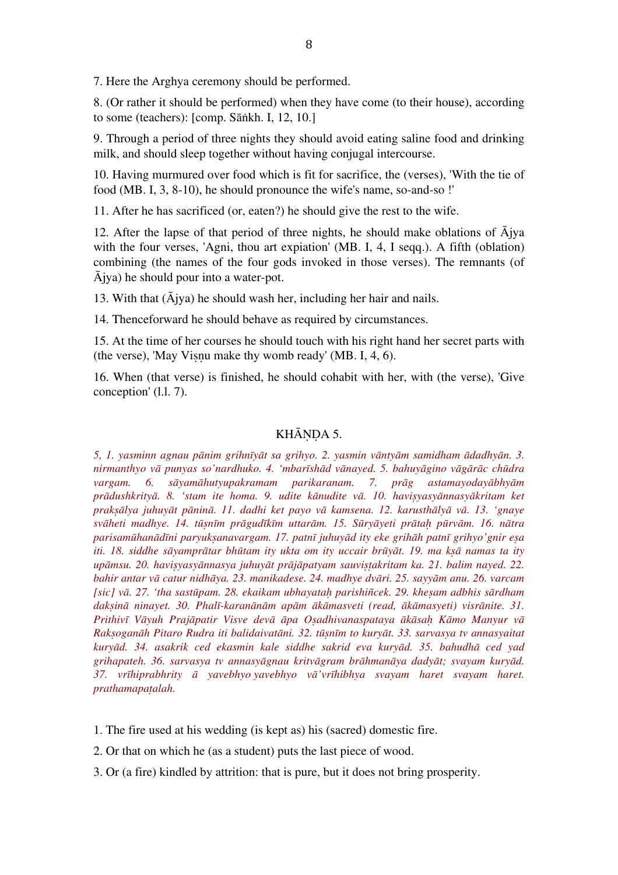7. Here the Arghya ceremony should be performed.

8. (Or rather it should be performed) when they have come (to their house), according to some (teachers): [comp. Sāṅkh. I, 12, 10.]

9. Through a period of three nights they should avoid eating saline food and drinking milk, and should sleep together without having conjugal intercourse.

10. Having murmured over food which is fit for sacrifice, the (verses), 'With the tie of food (MB. I, 3, 8-10), he should pronounce the wife's name, so-and-so !'

11. After he has sacrificed (or, eaten?) he should give the rest to the wife.

12. After the lapse of that period of three nights, he should make oblations of  $\overline{A}$ jya with the four verses, 'Agni, thou art expiation' (MB. I, 4, I seqq.). A fifth (oblation) combining (the names of the four gods invoked in those verses). The remnants (of Ājya) he should pour into a water-pot.

13. With that  $(\bar{A}$ jya) he should wash her, including her hair and nails.

14. Thenceforward he should behave as required by circumstances.

15. At the time of her courses he should touch with his right hand her secret parts with (the verse), 'May Viṣṇu make thy womb ready' (MB. I, 4, 6).

16. When (that verse) is finished, he should cohabit with her, with (the verse), 'Give conception' (l.l. 7).

## KHĀNDA 5.

*5, 1. yasminn agnau pānim grihnīyāt sa grihyo. 2. yasmin vāntyām samidham ādadhyān. 3. nirmanthyo vā punyas so'nardhuko. 4. 'mbarīshād vānayed. 5. bahuyāgino vāgārāc chūdra vargam. 6. sāyamāhutyupakramam parikaranam. 7. prāg astamayodayābhyām prādushkrityā. 8. 'stam ite homa. 9. udite kānudite vā. 10. haviṣyasyānnasyākritam ket prakṣālya juhuyāt pāninā. 11. dadhi ket payo vā kamsena. 12. karusthālyā vā. 13. 'gnaye*  svāheti madhye. 14. tūsnīm prāgudīkīm uttarām. 15. Sūryāyeti prātah pūrvām. 16. nātra *parisamūhanādīni paryukṣanavargam. 17. patnī juhuyād ity eke grihāh patnī grihyo'gnir eṣa iti. 18. siddhe sāyamprātar bhūtam ity ukta om ity uccair brūyāt. 19. ma kṣā namas ta ity upāmsu. 20. haviṣyasyānnasya juhuyāt prājāpatyam sauviṣṭakritam ka. 21. balim nayed. 22. bahir antar vā catur nidhāya. 23. manikadese. 24. madhye dvāri. 25. sayyām anu. 26. varcam [sic] vā. 27. 'tha sastūpam. 28. ekaikam ubhayataḥ parishiñcek. 29. kheṣam adbhis sārdham*  daksinā ninayet. 30. Phalī-karanānām apām ākāmasveti (read, ākāmasyeti) visrānite. 31. Prithivī Vāyuh Prajāpatir Visve devā āpa Osadhivanaspataya ākāsah Kāmo Manyur vā *Rakṣoganāh Pitaro Rudra iti balidaivatāni. 32. tūṣnīm to kuryāt. 33. sarvasya tv annasyaitat kuryād. 34. asakrik ced ekasmin kale siddhe sakrid eva kuryād. 35. bahudhā ced yad grihapateh. 36. sarvasya tv annasyāgnau kritvāgram brāhmanāya dadyāt; svayam kuryād. 37. vrīhiprabhrity ā yavebhyo yavebhyo vā'vrīhibhya svayam haret svayam haret. prathamapaṭalah.*

1. The fire used at his wedding (is kept as) his (sacred) domestic fire.

2. Or that on which he (as a student) puts the last piece of wood.

3. Or (a fire) kindled by attrition: that is pure, but it does not bring prosperity.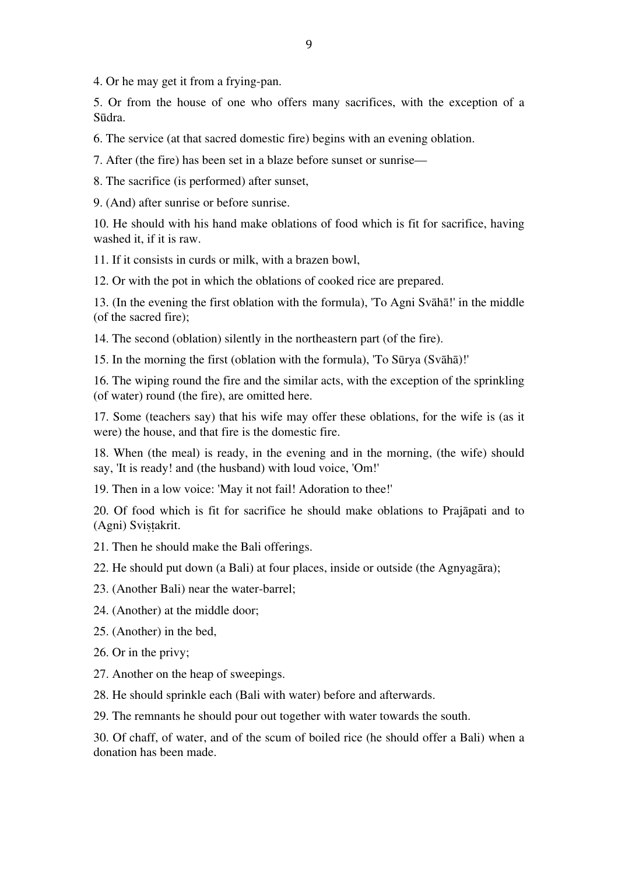4. Or he may get it from a frying-pan.

5. Or from the house of one who offers many sacrifices, with the exception of a Sūdra.

6. The service (at that sacred domestic fire) begins with an evening oblation.

7. After (the fire) has been set in a blaze before sunset or sunrise—

8. The sacrifice (is performed) after sunset,

9. (And) after sunrise or before sunrise.

10. He should with his hand make oblations of food which is fit for sacrifice, having washed it, if it is raw.

11. If it consists in curds or milk, with a brazen bowl,

12. Or with the pot in which the oblations of cooked rice are prepared.

13. (In the evening the first oblation with the formula), 'To Agni Svāhā!' in the middle (of the sacred fire);

14. The second (oblation) silently in the northeastern part (of the fire).

15. In the morning the first (oblation with the formula), 'To Sūrya (Svāhā)!'

16. The wiping round the fire and the similar acts, with the exception of the sprinkling (of water) round (the fire), are omitted here.

17. Some (teachers say) that his wife may offer these oblations, for the wife is (as it were) the house, and that fire is the domestic fire.

18. When (the meal) is ready, in the evening and in the morning, (the wife) should say, 'It is ready! and (the husband) with loud voice, 'Om!'

19. Then in a low voice: 'May it not fail! Adoration to thee!'

20. Of food which is fit for sacrifice he should make oblations to Prajāpati and to (Agni) Sviṣṭakrit.

21. Then he should make the Bali offerings.

22. He should put down (a Bali) at four places, inside or outside (the Agnyagāra);

23. (Another Bali) near the water-barrel;

24. (Another) at the middle door;

25. (Another) in the bed,

26. Or in the privy;

27. Another on the heap of sweepings.

28. He should sprinkle each (Bali with water) before and afterwards.

29. The remnants he should pour out together with water towards the south.

30. Of chaff, of water, and of the scum of boiled rice (he should offer a Bali) when a donation has been made.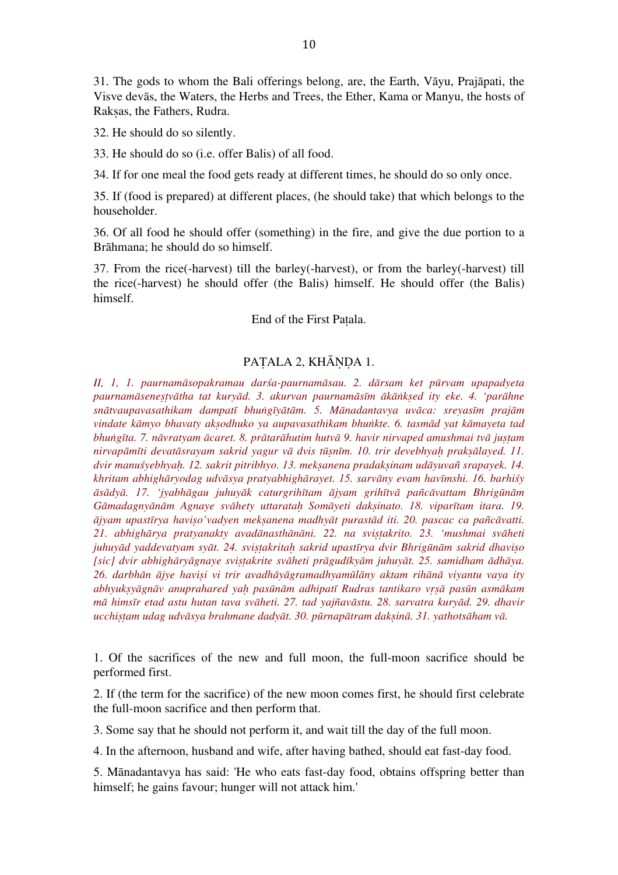31. The gods to whom the Bali offerings belong, are, the Earth, Vāyu, Prajāpati, the Visve devās, the Waters, the Herbs and Trees, the Ether, Kama or Manyu, the hosts of Raksas, the Fathers, Rudra.

32. He should do so silently.

33. He should do so (i.e. offer Balis) of all food.

34. If for one meal the food gets ready at different times, he should do so only once.

35. If (food is prepared) at different places, (he should take) that which belongs to the householder.

36. Of all food he should offer (something) in the fire, and give the due portion to a Brāhmana; he should do so himself.

37. From the rice(-harvest) till the barley(-harvest), or from the barley(-harvest) till the rice(-harvest) he should offer (the Balis) himself. He should offer (the Balis) himself.

End of the First Paṭala.

# PATALA 2, KHĀNDA 1.

*II, 1, 1. paurnamāsopakramau darśa-paurnamāsau. 2. dārsam ket pūrvam upapadyeta*  paurnamāsenestvātha tat kuryād. 3. akurvan paurnamāsīm ākānksed ity eke. 4. 'parāhne snātvaupavasathikam dampatī bhungīyātām. 5. Mānadantavya uvāca: sreyasīm prajām *vindate kāmyo bhavaty akṣodhuko ya aupavasathikam bhuṅkte. 6. tasmād yat kāmayeta tad bhuṅgīta. 7. nāvratyam ācaret. 8. prātarāhutim hutvā 9. havir nirvaped amushmai tvā juṣṭam nirvapāmīti devatāsrayam sakrid yagur vā dvis tūṣnīm. 10. trir devebhyaḥ prakṣālayed. 11. dvir manuśyebhyaḥ. 12. sakrit pitribhyo. 13. mekṣanena pradakṣinam udāyuvañ srapayek. 14. khritam abhighāryodag udvāsya pratyabhighārayet. 15. sarvāny evam havīmshi. 16. barhiśy* āsādyā. 17. 'jyabhāgau juhuyāk caturgrihītam ājyam grihītvā pañcāvattam Bhrigūnām *Gāmadagnyānām Agnaye svāhety uttarataḥ Somāyeti dakṣinato. 18. viparītam itara. 19. ājyam upastīrya haviṣo'vadyen mekṣanena madhyāt purastād iti. 20. pascac ca pañcāvatti. 21. abhighārya pratyanakty avadānasthānāni. 22. na sviṣṭakrito. 23. 'mushmai svāheti juhuyād yaddevatyam syāt. 24. sviṣṭakritaḥ sakrid upastīrya dvir Bhrigūnām sakrid dhaviṣo*  [sic] dvir abhighāryāgnaye svistakrite svāheti prāgudīkyām juhuyāt. 25. samidham ādhāya. *26. darbhān ājye haviṣi vi trir avadhāyāgramadhyamūlāny aktam rihānā viyantu vaya ity*  abhyuksyāgnāy anuprahared yah pasūnām adhipatī Rudras tantikaro yrsā pasūn asmākam *mā himsīr etad astu hutan tava svāheti. 27. tad yajñavāstu. 28. sarvatra kuryād. 29. dhavir ucchiṣṭam udag udvāsya brahmane dadyāt. 30. pūrnapātram dakṣinā. 31. yathotsāham vā.*

1. Of the sacrifices of the new and full moon, the full-moon sacrifice should be performed first.

2. If (the term for the sacrifice) of the new moon comes first, he should first celebrate the full-moon sacrifice and then perform that.

3. Some say that he should not perform it, and wait till the day of the full moon.

4. In the afternoon, husband and wife, after having bathed, should eat fast-day food.

5. Mānadantavya has said: 'He who eats fast-day food, obtains offspring better than himself; he gains favour; hunger will not attack him.'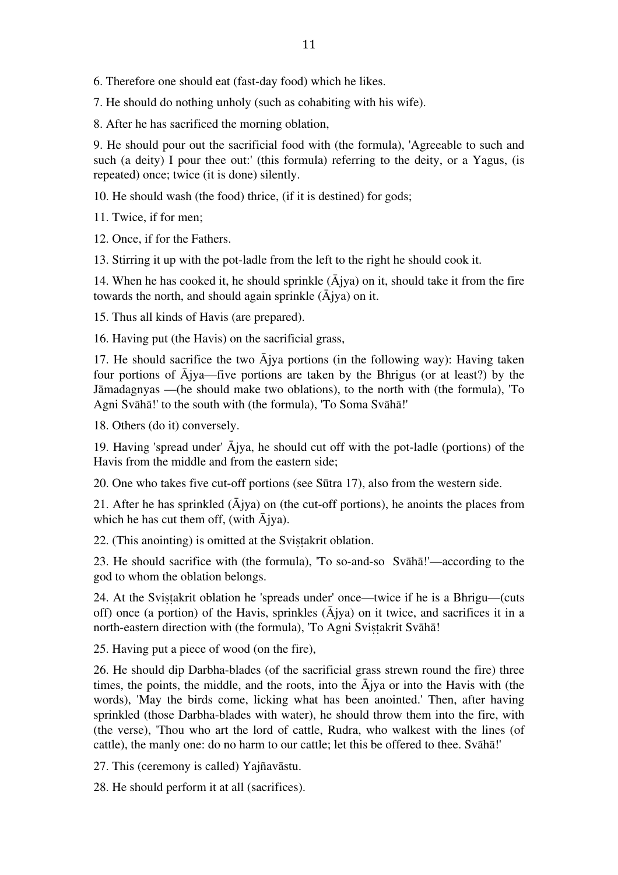6. Therefore one should eat (fast-day food) which he likes.

7. He should do nothing unholy (such as cohabiting with his wife).

8. After he has sacrificed the morning oblation,

9. He should pour out the sacrificial food with (the formula), 'Agreeable to such and such (a deity) I pour thee out:' (this formula) referring to the deity, or a Yagus, (is repeated) once; twice (it is done) silently.

10. He should wash (the food) thrice, (if it is destined) for gods;

11. Twice, if for men;

12. Once, if for the Fathers.

13. Stirring it up with the pot-ladle from the left to the right he should cook it.

14. When he has cooked it, he should sprinkle  $(\bar{A}$ jya) on it, should take it from the fire towards the north, and should again sprinkle  $(\bar{A}$ jya) on it.

15. Thus all kinds of Havis (are prepared).

16. Having put (the Havis) on the sacrificial grass,

17. He should sacrifice the two  $\overline{A}$ jya portions (in the following way): Having taken four portions of  $\overline{A}$ jya—five portions are taken by the Bhrigus (or at least?) by the Jāmadagnyas —(he should make two oblations), to the north with (the formula), 'To Agni Svāhā!' to the south with (the formula), 'To Soma Svāhā!'

18. Others (do it) conversely.

19. Having 'spread under' Ājya, he should cut off with the pot-ladle (portions) of the Havis from the middle and from the eastern side;

20. One who takes five cut-off portions (see Sūtra 17), also from the western side.

21. After he has sprinkled  $(\bar{A}$ jya) on (the cut-off portions), he anoints the places from which he has cut them off, (with Ājya).

22. (This anointing) is omitted at the Sviṣṭakrit oblation.

23. He should sacrifice with (the formula), 'To so-and-so Svāhā!'—according to the god to whom the oblation belongs.

24. At the Svistakrit oblation he 'spreads under' once—twice if he is a Bhrigu—(cuts off) once (a portion) of the Havis, sprinkles  $(\bar{A}$ jya) on it twice, and sacrifices it in a north-eastern direction with (the formula), 'To Agni Sviṣṭakrit Svāhā!

25. Having put a piece of wood (on the fire),

26. He should dip Darbha-blades (of the sacrificial grass strewn round the fire) three times, the points, the middle, and the roots, into the  $\overline{A}$ jya or into the Havis with (the words), 'May the birds come, licking what has been anointed.' Then, after having sprinkled (those Darbha-blades with water), he should throw them into the fire, with (the verse), 'Thou who art the lord of cattle, Rudra, who walkest with the lines (of cattle), the manly one: do no harm to our cattle; let this be offered to thee. Svāhā!'

27. This (ceremony is called) Yajñavāstu.

28. He should perform it at all (sacrifices).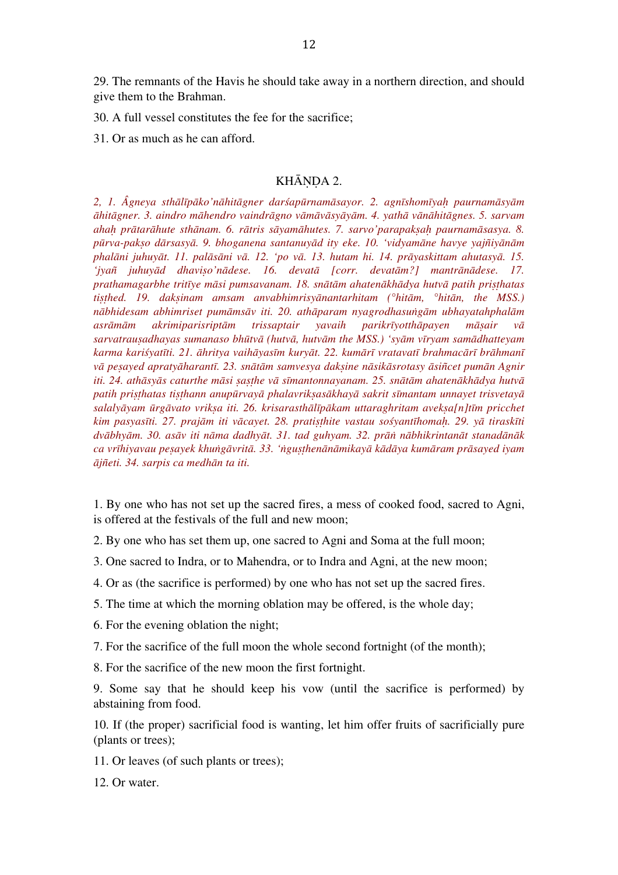29. The remnants of the Havis he should take away in a northern direction, and should give them to the Brahman.

30. A full vessel constitutes the fee for the sacrifice;

31. Or as much as he can afford.

#### KHĀNDA 2.

2, 1. Âgneya sthālīpāko'nāhitāgner darśapūrnamāsayor. 2. agnīshomīyah paurnamāsyām āhitāgner. 3. aindro māhendro vaindrāgno vāmāvāsyāyām. 4. yathā vānāhitāgnes. 5. sarvam ahah prātarāhute sthānam. 6. rātris sāyamāhutes. 7. sarvo'parapaksah paurnamāsasya. 8. *pūrva-pakṣo dārsasyā. 9. bhoganena santanuyād ity eke. 10. 'vidyamāne havye yajñiyānām phalāni juhuyāt. 11. palāsāni vā. 12. 'po vā. 13. hutam hi. 14. prāyaskittam ahutasyā. 15. 'jyañ juhuyād dhaviṣo'nādese. 16. devatā [corr. devatām?] mantrānādese. 17. prathamagarbhe tritīye māsi pumsavanam. 18. snātām ahatenākhādya hutvā patih priṣṭhatas tiṣṭhed. 19. dakṣinam amsam anvabhimrisyānantarhitam (°hitām, °hitān, the MSS.) nābhidesam abhimriset pumāmsāv iti. 20. athāparam nyagrodhasuṅgām ubhayatahphalām asrāmām akrimiparisriptām trissaptair yavaih parikrīyotthāpayen māṣair vā sarvatrauṣadhayas sumanaso bhūtvā (hutvā, hutvām the MSS.) 'syām vīryam samādhatteyam*  karma kariśyatīti. 21. āhritya vaihāyasīm kuryāt. 22. kumārī vratavatī brahmacārī brāhmanī vā pesayed apratyāharantī. 23. snātām samvesya daksine nāsikāsrotasy āsiñcet pumān Agnir iti. 24. athāsyās caturthe māsi sasthe vā sīmantonnayanam. 25. snātām ahatenākhādya hutvā *patih priṣṭhatas tiṣṭhann anupūrvayā phalavrikṣasākhayā sakrit sīmantam unnayet trisvetayā salalyāyam ūrgāvato vrikṣa iti. 26. krisarasthālīpākam uttaraghritam avekṣa[n]tīm pricchet*  kim pasyasīti. 27. prajām iti vācayet. 28. pratisthite vastau sośyantīhomah. 29. yā tiraskīti dvābhyām. 30. asāv iti nāma dadhyāt. 31. tad guhyam. 32. prān nābhikrintanāt stanadānāk ca vrīhiyavau pesayek khungāvritā. 33. 'ngusthenānāmikayā kādāya kumāram prāsayed iyam *ājñeti. 34. sarpis ca medhān ta iti.*

1. By one who has not set up the sacred fires, a mess of cooked food, sacred to Agni, is offered at the festivals of the full and new moon;

2. By one who has set them up, one sacred to Agni and Soma at the full moon;

3. One sacred to Indra, or to Mahendra, or to Indra and Agni, at the new moon;

4. Or as (the sacrifice is performed) by one who has not set up the sacred fires.

5. The time at which the morning oblation may be offered, is the whole day;

6. For the evening oblation the night;

7. For the sacrifice of the full moon the whole second fortnight (of the month);

8. For the sacrifice of the new moon the first fortnight.

9. Some say that he should keep his vow (until the sacrifice is performed) by abstaining from food.

10. If (the proper) sacrificial food is wanting, let him offer fruits of sacrificially pure (plants or trees);

11. Or leaves (of such plants or trees);

12. Or water.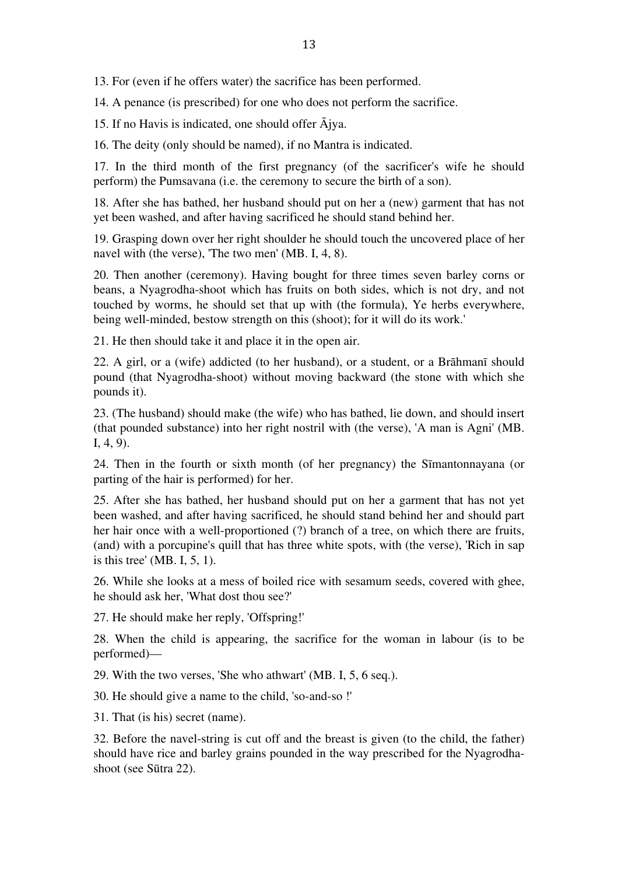13. For (even if he offers water) the sacrifice has been performed.

14. A penance (is prescribed) for one who does not perform the sacrifice.

15. If no Havis is indicated, one should offer Ājya.

16. The deity (only should be named), if no Mantra is indicated.

17. In the third month of the first pregnancy (of the sacrificer's wife he should perform) the Pumsavana (i.e. the ceremony to secure the birth of a son).

18. After she has bathed, her husband should put on her a (new) garment that has not yet been washed, and after having sacrificed he should stand behind her.

19. Grasping down over her right shoulder he should touch the uncovered place of her navel with (the verse), 'The two men' (MB. I, 4, 8).

20. Then another (ceremony). Having bought for three times seven barley corns or beans, a Nyagrodha-shoot which has fruits on both sides, which is not dry, and not touched by worms, he should set that up with (the formula), Ye herbs everywhere, being well-minded, bestow strength on this (shoot); for it will do its work.'

21. He then should take it and place it in the open air.

22. A girl, or a (wife) addicted (to her husband), or a student, or a Brāhmanī should pound (that Nyagrodha-shoot) without moving backward (the stone with which she pounds it).

23. (The husband) should make (the wife) who has bathed, lie down, and should insert (that pounded substance) into her right nostril with (the verse), 'A man is Agni' (MB. I, 4, 9).

24. Then in the fourth or sixth month (of her pregnancy) the Sīmantonnayana (or parting of the hair is performed) for her.

25. After she has bathed, her husband should put on her a garment that has not yet been washed, and after having sacrificed, he should stand behind her and should part her hair once with a well-proportioned (?) branch of a tree, on which there are fruits, (and) with a porcupine's quill that has three white spots, with (the verse), 'Rich in sap is this tree' (MB. I, 5, 1).

26. While she looks at a mess of boiled rice with sesamum seeds, covered with ghee, he should ask her, 'What dost thou see?'

27. He should make her reply, 'Offspring!'

28. When the child is appearing, the sacrifice for the woman in labour (is to be performed)—

29. With the two verses, 'She who athwart' (MB. I, 5, 6 seq.).

30. He should give a name to the child, 'so-and-so !'

31. That (is his) secret (name).

32. Before the navel-string is cut off and the breast is given (to the child, the father) should have rice and barley grains pounded in the way prescribed for the Nyagrodhashoot (see Sūtra 22).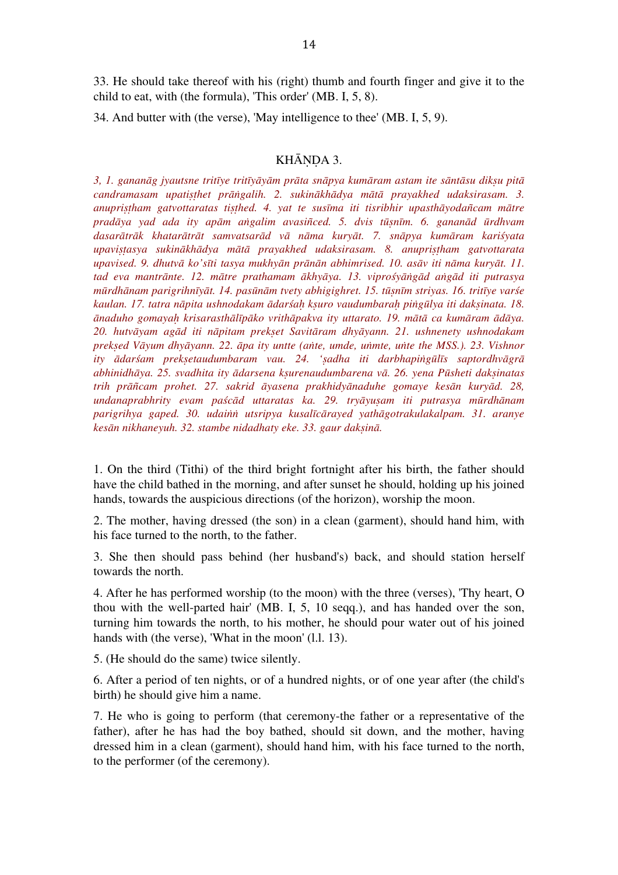33. He should take thereof with his (right) thumb and fourth finger and give it to the child to eat, with (the formula), 'This order' (MB. I, 5, 8).

34. And butter with (the verse), 'May intelligence to thee' (MB. I, 5, 9).

## KHĀNDA 3.

3, 1. gananāg įvautsne tritīve tritīvāvām prāta snāpya kumāram astam ite sāntāsu diksu pitā *candramasam upatiṣṭhet prāṅgalih. 2. sukinākhādya mātā prayakhed udaksirasam. 3. anupriṣṭham gatvottaratas tiṣṭhed. 4. yat te susīma iti tisribhir upasthāyodañcam mātre pradāya yad ada ity apām aṅgalim avasiñced. 5. dvis tūṣnīm. 6. gananād ūrdhvam*  dasarātrāk khatarātrāt samvatsarād vā nāma kurvāt. 7. snāpya kumāram kariśyata *upaviṣṭasya sukinākhādya mātā prayakhed udaksirasam. 8. anupriṣṭham gatvottarata upavised. 9. dhutvā ko'sīti tasya mukhyān prānān abhimrised. 10. asāv iti nāma kuryāt. 11. tad eva mantrānte. 12. mātre prathamam ākhyāya. 13. viprośyāṅgād aṅgād iti putrasya*  mūrdhānam parigrihnīyāt. 14. pasūnām tvety abhigighret. 15. tūsnīm striyas. 16. tritīye varśe *kaulan. 17. tatra nāpita ushnodakam ādarśaḥ kṣuro vaudumbaraḥ piṅgūlya iti dakṣinata. 18.*  ānaduho gomayah krisarasthālīpāko vrithāpakva ity uttarato. 19. mātā ca kumāram ādāya. *20. hutvāyam agād iti nāpitam prekṣet Savitāram dhyāyann. 21. ushnenety ushnodakam prekṣed Vāyum dhyāyann. 22. āpa ity untte (aṅte, umde, uṅmte, uṅte the MSS.). 23. Vishnor ity ādarśam prekṣetaudumbaram vau. 24. 'ṣadha iti darbhapiṅgūlīs saptordhvāgrā abhinidhāya. 25. svadhita ity ādarsena kṣurenaudumbarena vā. 26. yena Pūsheti dakṣinatas trih prāñcam prohet. 27. sakrid āyasena prakhidyānaduhe gomaye kesān kuryād. 28, undanaprabhrity evam paścād uttaratas ka. 29. tryāyuṣam iti putrasya mūrdhānam parigrihya gaped. 30. udaiṅṅ utsripya kusalīcārayed yathāgotrakulakalpam. 31. aranye kesān nikhaneyuh. 32. stambe nidadhaty eke. 33. gaur dakṣinā.*

1. On the third (Tithi) of the third bright fortnight after his birth, the father should have the child bathed in the morning, and after sunset he should, holding up his joined hands, towards the auspicious directions (of the horizon), worship the moon.

2. The mother, having dressed (the son) in a clean (garment), should hand him, with his face turned to the north, to the father.

3. She then should pass behind (her husband's) back, and should station herself towards the north.

4. After he has performed worship (to the moon) with the three (verses), 'Thy heart, O thou with the well-parted hair' (MB. I, 5, 10 seqq.), and has handed over the son, turning him towards the north, to his mother, he should pour water out of his joined hands with (the verse), 'What in the moon' (1.1. 13).

5. (He should do the same) twice silently.

6. After a period of ten nights, or of a hundred nights, or of one year after (the child's birth) he should give him a name.

7. He who is going to perform (that ceremony-the father or a representative of the father), after he has had the boy bathed, should sit down, and the mother, having dressed him in a clean (garment), should hand him, with his face turned to the north, to the performer (of the ceremony).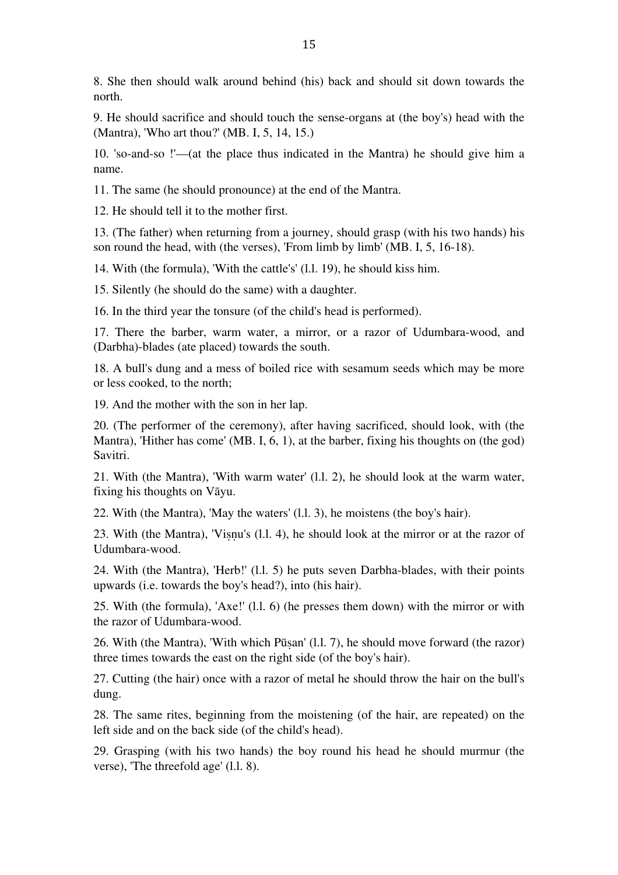8. She then should walk around behind (his) back and should sit down towards the north.

9. He should sacrifice and should touch the sense-organs at (the boy's) head with the (Mantra), 'Who art thou?' (MB. I, 5, 14, 15.)

10. 'so-and-so !'—(at the place thus indicated in the Mantra) he should give him a name.

11. The same (he should pronounce) at the end of the Mantra.

12. He should tell it to the mother first.

13. (The father) when returning from a journey, should grasp (with his two hands) his son round the head, with (the verses), 'From limb by limb' (MB. I, 5, 16-18).

14. With (the formula), 'With the cattle's' (l.l. 19), he should kiss him.

15. Silently (he should do the same) with a daughter.

16. In the third year the tonsure (of the child's head is performed).

17. There the barber, warm water, a mirror, or a razor of Udumbara-wood, and (Darbha)-blades (ate placed) towards the south.

18. A bull's dung and a mess of boiled rice with sesamum seeds which may be more or less cooked, to the north;

19. And the mother with the son in her lap.

20. (The performer of the ceremony), after having sacrificed, should look, with (the Mantra), 'Hither has come' (MB. I, 6, 1), at the barber, fixing his thoughts on (the god) Savitri.

21. With (the Mantra), 'With warm water' (l.l. 2), he should look at the warm water, fixing his thoughts on Vāyu.

22. With (the Mantra), 'May the waters' (l.l. 3), he moistens (the boy's hair).

23. With (the Mantra), 'Viṣṇu's (l.l. 4), he should look at the mirror or at the razor of Udumbara-wood.

24. With (the Mantra), 'Herb!' (l.l. 5) he puts seven Darbha-blades, with their points upwards (i.e. towards the boy's head?), into (his hair).

25. With (the formula), 'Axe!' (l.l. 6) (he presses them down) with the mirror or with the razor of Udumbara-wood.

26. With (the Mantra), 'With which Pūṣan' (l.l. 7), he should move forward (the razor) three times towards the east on the right side (of the boy's hair).

27. Cutting (the hair) once with a razor of metal he should throw the hair on the bull's dung.

28. The same rites, beginning from the moistening (of the hair, are repeated) on the left side and on the back side (of the child's head).

29. Grasping (with his two hands) the boy round his head he should murmur (the verse), 'The threefold age' (l.l. 8).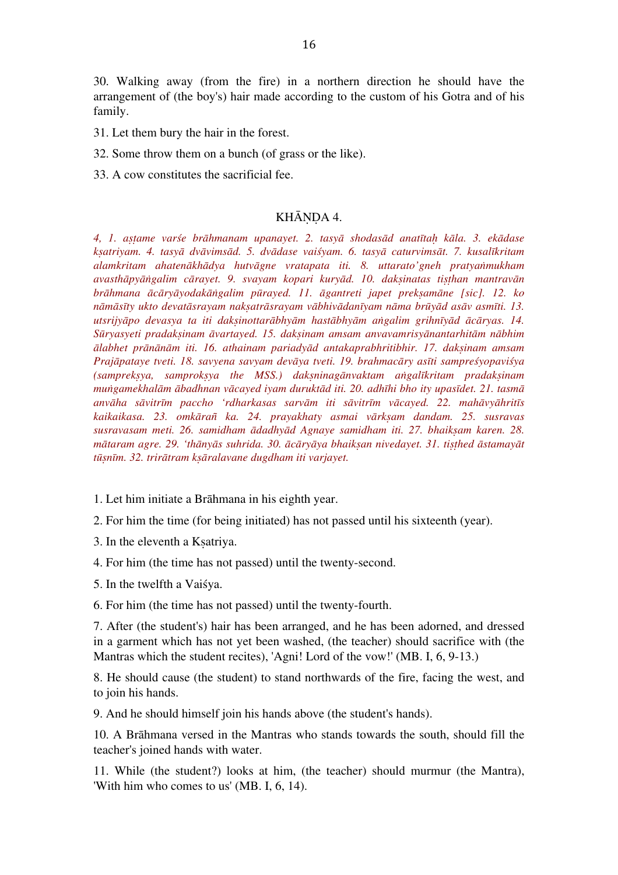30. Walking away (from the fire) in a northern direction he should have the arrangement of (the boy's) hair made according to the custom of his Gotra and of his family.

31. Let them bury the hair in the forest.

32. Some throw them on a bunch (of grass or the like).

33. A cow constitutes the sacrificial fee.

## KHĀNDA 4.

*4, 1. aṣṭame varśe brāhmanam upanayet. 2. tasyā shodasād anatītaḥ kāla. 3. ekādase*  ksatriyam. 4. tasyā dvāvimsād. 5. dvādase vaišyam. 6. tasyā caturvimsāt. 7. kusalīkritam *alamkritam ahatenākhādya hutvāgne vratapata iti. 8. uttarato'gneh pratyaṅmukham avasthāpyāṅgalim cārayet. 9. svayam kopari kuryād. 10. dakṣinatas tiṣṭhan mantravān brāhmana ācāryāyodakāṅgalim pūrayed. 11. āgantreti japet prekṣamāne [sic]. 12. ko*  nāmāsīty ukto devatāsrayam naksatrāsrayam vābhivādanīyam nāma brūyād asāv asmīti. 13. utsrijyāpo devasya ta iti daksinottarābhyām hastābhyām angalim grihnīyād ācāryas. 14. *Sūryasyeti pradakṣinam āvartayed. 15. dakṣinam amsam anvavamrisyānantarhitām nābhim ālabhet prānānām iti. 16. athainam pariadyād antakaprabhritibhir. 17. dakṣinam amsam Prajāpataye tveti. 18. savyena savyam devāya tveti. 19. brahmacāry asīti sampreśyopaviśya (samprekṣya, samprokṣya the MSS.) dakṣninagānvaktam aṅgalīkritam pradakṣinam muṅgamekhalām ābadhnan vācayed iyam duruktād iti. 20. adhīhi bho ity upasīdet. 21. tasmā* anvāha sāvitrīm paccho 'rdharkasas sarvām iti sāvitrīm vācayed. 22. mahāvyāhritīs *kaikaikasa. 23. omkārañ ka. 24. prayakhaty asmai vārkṣam dandam. 25. susravas susravasam meti. 26. samidham ādadhyād Agnaye samidham iti. 27. bhaikṣam karen. 28.*  mātaram agre. 29. 'thānyās suhrida. 30. ācāryāya bhaiksan nivedayet. 31. tisthed āstamayāt *tūṣnīm. 32. trirātram kṣāralavane dugdham iti varjayet.*

1. Let him initiate a Brāhmana in his eighth year.

2. For him the time (for being initiated) has not passed until his sixteenth (year).

3. In the eleventh a Kṣatriya.

4. For him (the time has not passed) until the twenty-second.

5. In the twelfth a Vaiśya.

6. For him (the time has not passed) until the twenty-fourth.

7. After (the student's) hair has been arranged, and he has been adorned, and dressed in a garment which has not yet been washed, (the teacher) should sacrifice with (the Mantras which the student recites), 'Agni! Lord of the vow!' (MB. I, 6, 9-13.)

8. He should cause (the student) to stand northwards of the fire, facing the west, and to join his hands.

9. And he should himself join his hands above (the student's hands).

10. A Brāhmana versed in the Mantras who stands towards the south, should fill the teacher's joined hands with water.

11. While (the student?) looks at him, (the teacher) should murmur (the Mantra), 'With him who comes to us' (MB. I, 6, 14).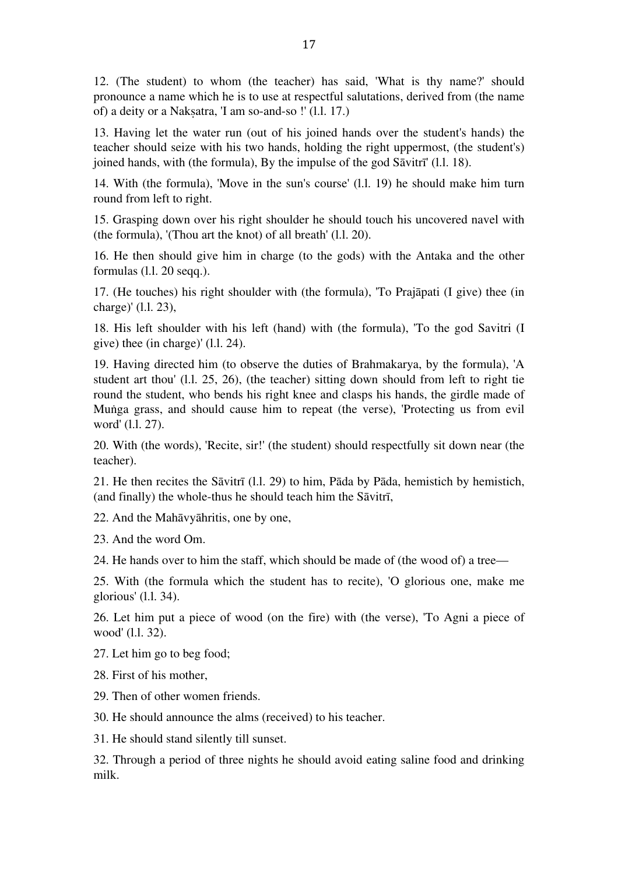12. (The student) to whom (the teacher) has said, 'What is thy name?' should pronounce a name which he is to use at respectful salutations, derived from (the name of) a deity or a Nakṣatra, 'I am so-and-so !' (l.l. 17.)

13. Having let the water run (out of his joined hands over the student's hands) the teacher should seize with his two hands, holding the right uppermost, (the student's) joined hands, with (the formula), By the impulse of the god Sāvitrī' (l.l. 18).

14. With (the formula), 'Move in the sun's course' (l.l. 19) he should make him turn round from left to right.

15. Grasping down over his right shoulder he should touch his uncovered navel with (the formula), '(Thou art the knot) of all breath' (l.l. 20).

16. He then should give him in charge (to the gods) with the Antaka and the other formulas (l.l. 20 seqq.).

17. (He touches) his right shoulder with (the formula), 'To Prajāpati (I give) thee (in charge)' (l.l. 23),

18. His left shoulder with his left (hand) with (the formula), 'To the god Savitri (I give) thee (in charge)' (l.l. 24).

19. Having directed him (to observe the duties of Brahmakarya, by the formula), 'A student art thou' (l.l. 25, 26), (the teacher) sitting down should from left to right tie round the student, who bends his right knee and clasps his hands, the girdle made of Muṅga grass, and should cause him to repeat (the verse), 'Protecting us from evil word' (l.l. 27).

20. With (the words), 'Recite, sir!' (the student) should respectfully sit down near (the teacher).

21. He then recites the Sāvitrī (l.l. 29) to him, Pāda by Pāda, hemistich by hemistich, (and finally) the whole-thus he should teach him the Sāvitrī,

22. And the Mahāvyāhritis, one by one,

23. And the word Om.

24. He hands over to him the staff, which should be made of (the wood of) a tree—

25. With (the formula which the student has to recite), 'O glorious one, make me glorious' (l.l. 34).

26. Let him put a piece of wood (on the fire) with (the verse), 'To Agni a piece of wood' (l.l. 32).

27. Let him go to beg food;

28. First of his mother,

29. Then of other women friends.

30. He should announce the alms (received) to his teacher.

31. He should stand silently till sunset.

32. Through a period of three nights he should avoid eating saline food and drinking milk.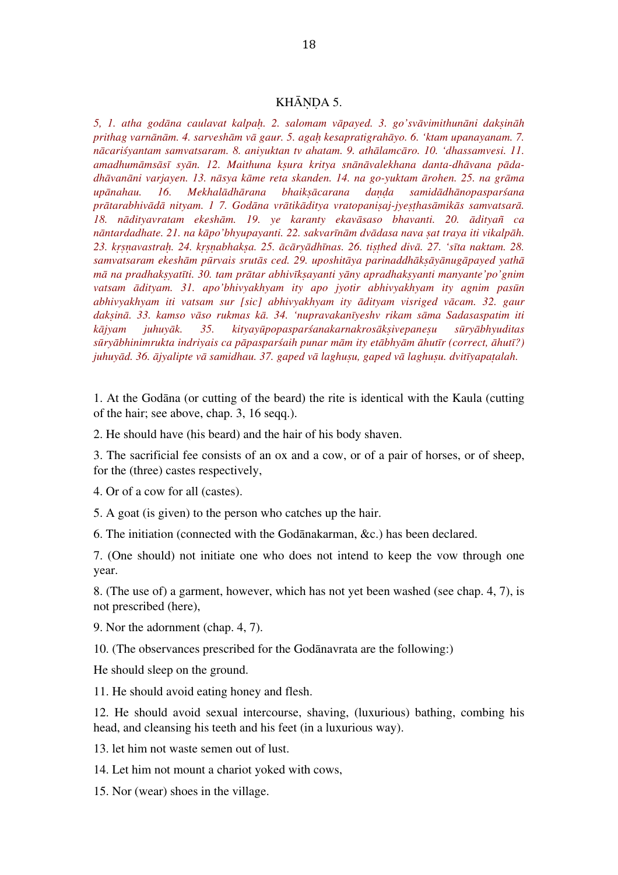#### KHĀNDA 5.

*5, 1. atha godāna caulavat kalpaḥ. 2. salomam vāpayed. 3. go'svāvimithunāni dakṣināh prithag varnānām. 4. sarveshām vā gaur. 5. agaḥ kesapratigrahāyo. 6. 'ktam upanayanam. 7. nācariśyantam samvatsaram. 8. aniyuktan tv ahatam. 9. athālamcāro. 10. 'dhassamvesi. 11. amadhumāmsāsī syān. 12. Maithuna kṣura kritya snānāvalekhana danta-dhāvana pādadhāvanāni varjayen. 13. nāsya kāme reta skanden. 14. na go-yuktam ārohen. 25. na grāma upānahau. 16. Mekhalādhārana bhaikṣācarana daṇḍa samidādhānopasparśana* prātarabhivādā nityam. 17. Godāna vrātikāditya vratopanisaj-jyesthasāmikās samvatsarā. *18. nādityavratam ekeshām. 19. ye karanty ekavāsaso bhavanti. 20. ādityañ ca nāntardadhate. 21. na kāpo'bhyupayanti. 22. sakvarīnām dvādasa nava ṣat traya iti vikalpāh.*  23. krsnavastrah. 24. krsnabhaksa. 25. ācāryādhīnas. 26. tisthed divā. 27. 'sīta naktam. 28. *samvatsaram ekeshām pūrvais srutās ced. 29. uposhitāya parinaddhākṣāyānugāpayed yathā mā na pradhakṣyatīti. 30. tam prātar abhivīkṣayanti yāny apradhakṣyanti manyante'po'gnim vatsam ādityam. 31. apo'bhivyakhyam ity apo jyotir abhivyakhyam ity agnim pasūn abhivyakhyam iti vatsam sur [sic] abhivyakhyam ity ādityam visriged vācam. 32. gaur dakṣinā. 33. kamso vāso rukmas kā. 34. 'nupravakanīyeshv rikam sāma Sadasaspatim iti kājyam juhuyāk. 35. kityayūpopasparśanakarnakrosākṣivepaneṣu sūryābhyuditas*  sūryābhinimrukta indriyais ca pāpasparśaih punar mām ity etābhyām āhutīr (correct, āhutī?) *juhuyād. 36. ājyalipte vā samidhau. 37. gaped vā laghuṣu, gaped vā laghuṣu. dvitīyapaṭalah.*

1. At the Godāna (or cutting of the beard) the rite is identical with the Kaula (cutting of the hair; see above, chap. 3, 16 seqq.).

2. He should have (his beard) and the hair of his body shaven.

3. The sacrificial fee consists of an ox and a cow, or of a pair of horses, or of sheep, for the (three) castes respectively,

4. Or of a cow for all (castes).

5. A goat (is given) to the person who catches up the hair.

6. The initiation (connected with the Godānakarman, &c.) has been declared.

7. (One should) not initiate one who does not intend to keep the vow through one year.

8. (The use of) a garment, however, which has not yet been washed (see chap. 4, 7), is not prescribed (here),

9. Nor the adornment (chap. 4, 7).

10. (The observances prescribed for the Godānavrata are the following:)

He should sleep on the ground.

11. He should avoid eating honey and flesh.

12. He should avoid sexual intercourse, shaving, (luxurious) bathing, combing his head, and cleansing his teeth and his feet (in a luxurious way).

13. let him not waste semen out of lust.

14. Let him not mount a chariot yoked with cows,

15. Nor (wear) shoes in the village.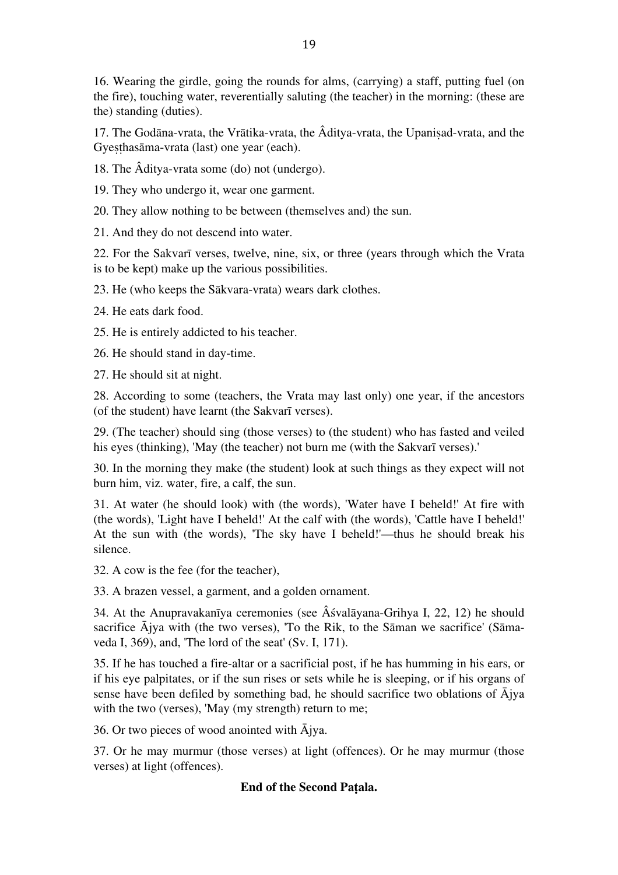16. Wearing the girdle, going the rounds for alms, (carrying) a staff, putting fuel (on the fire), touching water, reverentially saluting (the teacher) in the morning: (these are the) standing (duties).

17. The Godāna-vrata, the Vrātika-vrata, the Âditya-vrata, the Upaniṣad-vrata, and the Gyeṣṭhasāma-vrata (last) one year (each).

18. The Âditya-vrata some (do) not (undergo).

19. They who undergo it, wear one garment.

20. They allow nothing to be between (themselves and) the sun.

21. And they do not descend into water.

22. For the Sakvarī verses, twelve, nine, six, or three (years through which the Vrata is to be kept) make up the various possibilities.

23. He (who keeps the Sākvara-vrata) wears dark clothes.

24. He eats dark food.

25. He is entirely addicted to his teacher.

26. He should stand in day-time.

27. He should sit at night.

28. According to some (teachers, the Vrata may last only) one year, if the ancestors (of the student) have learnt (the Sakvarī verses).

29. (The teacher) should sing (those verses) to (the student) who has fasted and veiled his eyes (thinking), 'May (the teacher) not burn me (with the Sakvarī verses).'

30. In the morning they make (the student) look at such things as they expect will not burn him, viz. water, fire, a calf, the sun.

31. At water (he should look) with (the words), 'Water have I beheld!' At fire with (the words), 'Light have I beheld!' At the calf with (the words), 'Cattle have I beheld!' At the sun with (the words), 'The sky have I beheld!'—thus he should break his silence.

32. A cow is the fee (for the teacher),

33. A brazen vessel, a garment, and a golden ornament.

34. At the Anupravakanīya ceremonies (see Âśvalāyana-Grihya I, 22, 12) he should sacrifice Ājya with (the two verses), 'To the Rik, to the Sāman we sacrifice' (Sāmaveda I, 369), and, 'The lord of the seat' (Sv. I, 171).

35. If he has touched a fire-altar or a sacrificial post, if he has humming in his ears, or if his eye palpitates, or if the sun rises or sets while he is sleeping, or if his organs of sense have been defiled by something bad, he should sacrifice two oblations of  $\bar{A}$ jya with the two (verses), 'May (my strength) return to me;

36. Or two pieces of wood anointed with  $\bar{A}$ jya.

37. Or he may murmur (those verses) at light (offences). Or he may murmur (those verses) at light (offences).

# **End of the Second Paṭala.**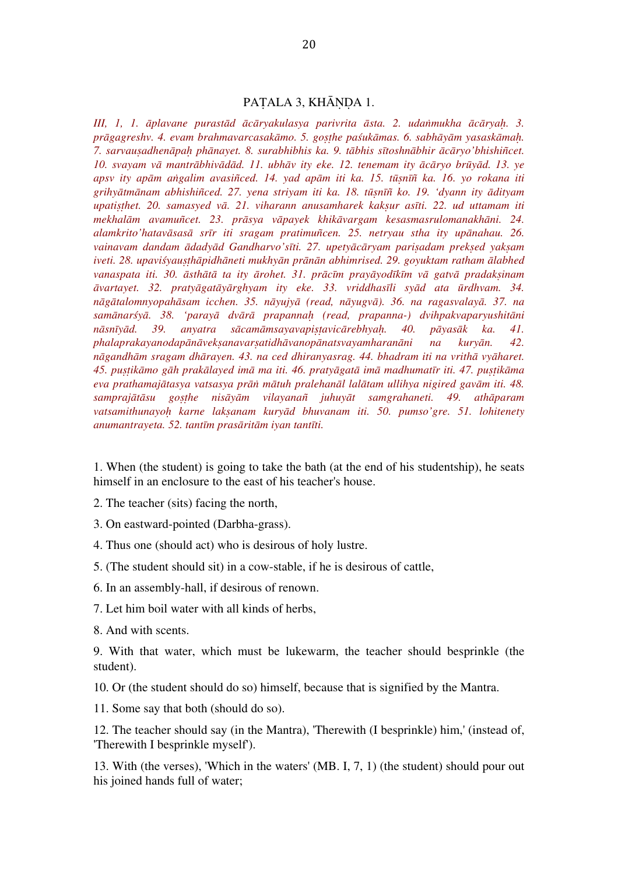#### PATALA 3, KHĀNDA 1.

*III, 1, 1. āplavane purastād ācāryakulasya parivrita āsta. 2. udaṅmukha ācāryaḥ. 3. prāgagreshv. 4. evam brahmavarcasakāmo. 5. goṣṭhe paśukāmas. 6. sabhāyām yasaskāmaḥ. 7. sarvauṣadhenāpaḥ phānayet. 8. surabhibhis ka. 9. tābhis sītoshnābhir ācāryo'bhishiñcet. 10. svayam vā mantrābhivādād. 11. ubhāv ity eke. 12. tenemam ity ācāryo brūyād. 13. ye apsv ity apām aṅgalim avasiñced. 14. yad apām iti ka. 15. tūṣnīñ ka. 16. yo rokana iti grihyātmānam abhishiñced. 27. yena striyam iti ka. 18. tūṣnīñ ko. 19. 'dyann ity ādityam upatiṣṭhet. 20. samasyed vā. 21. viharann anusamharek kakṣur asīti. 22. ud uttamam iti mekhalām avamuñcet. 23. prāsya vāpayek khikāvargam kesasmasrulomanakhāni. 24. alamkrito'hatavāsasā srīr iti sragam pratimuñcen. 25. netryau stha ity upānahau. 26. vainavam dandam ādadyād Gandharvo'sīti. 27. upetyācāryam pariṣadam prekṣed yakṣam iveti. 28. upaviśyauṣṭhāpidhāneti mukhyān prānān abhimrised. 29. goyuktam ratham ālabhed*  vanaspata iti. 30. āsthātā ta ity ārohet. 31. prācīm prayāyodīkīm vā gatvā pradaksinam *āvartayet. 32. pratyāgatāyārghyam ity eke. 33. vriddhasīli syād ata ūrdhvam. 34. nāgātalomnyopahāsam icchen. 35. nāyujyā (read, nāyugvā). 36. na ragasvalayā. 37. na samānarśyā. 38. 'parayā dvārā prapannaḥ (read, prapanna-) dvihpakvaparyushitāni nāsnīyād. 39. anyatra sācamāmsayavapiṣṭavicārebhyaḥ. 40. pāyasāk ka. 41. phalaprakayanodapānāvekṣanavarṣatidhāvanopānatsvayamharanāni na kuryān. 42. nāgandhām sragam dhārayen. 43. na ced dhiranyasrag. 44. bhadram iti na vrithā vyāharet.*  45. pustikāmo gāh prakālayed imā ma iti. 46. pratvāgatā imā madhumatīr iti. 47. pustikāma *eva prathamajātasya vatsasya prāṅ mātuh pralehanāl lalātam ullihya nigired gavām iti. 48. samprajātāsu goṣṭhe nisāyām vilayanañ juhuyāt samgrahaneti. 49. athāparam vatsamithunayoḥ karne lakṣanam kuryād bhuvanam iti. 50. pumso'gre. 51. lohitenety anumantrayeta. 52. tantīm prasāritām iyan tantīti.*

1. When (the student) is going to take the bath (at the end of his studentship), he seats himself in an enclosure to the east of his teacher's house.

2. The teacher (sits) facing the north,

3. On eastward-pointed (Darbha-grass).

4. Thus one (should act) who is desirous of holy lustre.

5. (The student should sit) in a cow-stable, if he is desirous of cattle,

6. In an assembly-hall, if desirous of renown.

7. Let him boil water with all kinds of herbs,

8. And with scents.

9. With that water, which must be lukewarm, the teacher should besprinkle (the student).

10. Or (the student should do so) himself, because that is signified by the Mantra.

11. Some say that both (should do so).

12. The teacher should say (in the Mantra), 'Therewith (I besprinkle) him,' (instead of, 'Therewith I besprinkle myself').

13. With (the verses), 'Which in the waters' (MB. I, 7, 1) (the student) should pour out his joined hands full of water;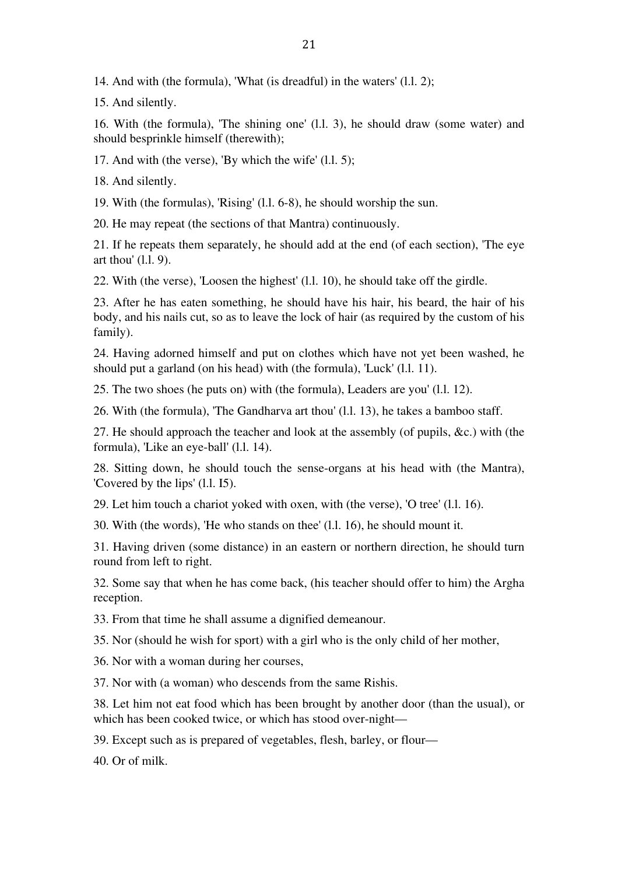14. And with (the formula), 'What (is dreadful) in the waters' (l.l. 2);

15. And silently.

16. With (the formula), 'The shining one' (l.l. 3), he should draw (some water) and should besprinkle himself (therewith);

17. And with (the verse), 'By which the wife' (l.l. 5);

18. And silently.

19. With (the formulas), 'Rising' (l.l. 6-8), he should worship the sun.

20. He may repeat (the sections of that Mantra) continuously.

21. If he repeats them separately, he should add at the end (of each section), 'The eye art thou' (l.l. 9).

22. With (the verse), 'Loosen the highest' (l.l. 10), he should take off the girdle.

23. After he has eaten something, he should have his hair, his beard, the hair of his body, and his nails cut, so as to leave the lock of hair (as required by the custom of his family).

24. Having adorned himself and put on clothes which have not yet been washed, he should put a garland (on his head) with (the formula), 'Luck' (l.l. 11).

25. The two shoes (he puts on) with (the formula), Leaders are you' (l.l. 12).

26. With (the formula), 'The Gandharva art thou' (l.l. 13), he takes a bamboo staff.

27. He should approach the teacher and look at the assembly (of pupils, &c.) with (the formula), 'Like an eye-ball' (l.l. 14).

28. Sitting down, he should touch the sense-organs at his head with (the Mantra), 'Covered by the lips' (l.l. I5).

29. Let him touch a chariot yoked with oxen, with (the verse), 'O tree' (l.l. 16).

30. With (the words), 'He who stands on thee' (l.l. 16), he should mount it.

31. Having driven (some distance) in an eastern or northern direction, he should turn round from left to right.

32. Some say that when he has come back, (his teacher should offer to him) the Argha reception.

33. From that time he shall assume a dignified demeanour.

35. Nor (should he wish for sport) with a girl who is the only child of her mother,

36. Nor with a woman during her courses,

37. Nor with (a woman) who descends from the same Rishis.

38. Let him not eat food which has been brought by another door (than the usual), or which has been cooked twice, or which has stood over-night—

39. Except such as is prepared of vegetables, flesh, barley, or flour—

40. Or of milk.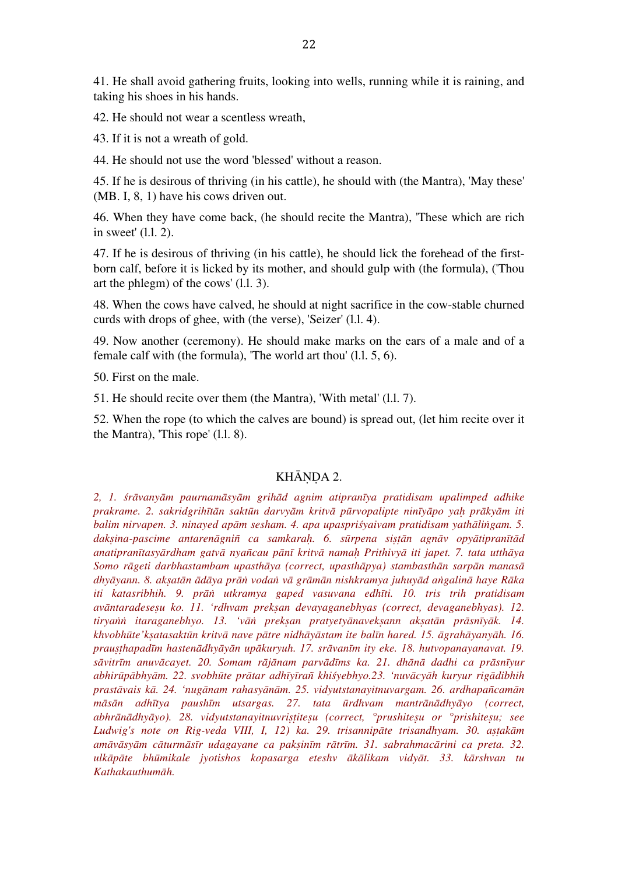41. He shall avoid gathering fruits, looking into wells, running while it is raining, and taking his shoes in his hands.

42. He should not wear a scentless wreath,

43. If it is not a wreath of gold.

44. He should not use the word 'blessed' without a reason.

45. If he is desirous of thriving (in his cattle), he should with (the Mantra), 'May these' (MB. I, 8, 1) have his cows driven out.

46. When they have come back, (he should recite the Mantra), 'These which are rich in sweet' (l.l. 2).

47. If he is desirous of thriving (in his cattle), he should lick the forehead of the firstborn calf, before it is licked by its mother, and should gulp with (the formula), ('Thou art the phlegm) of the cows' (l.l. 3).

48. When the cows have calved, he should at night sacrifice in the cow-stable churned curds with drops of ghee, with (the verse), 'Seizer' (l.l. 4).

49. Now another (ceremony). He should make marks on the ears of a male and of a female calf with (the formula), 'The world art thou' (l.l. 5, 6).

50. First on the male.

51. He should recite over them (the Mantra), 'With metal' (l.l. 7).

52. When the rope (to which the calves are bound) is spread out, (let him recite over it the Mantra), 'This rope' (l.l. 8).

## KHĀNDA 2.

*2, 1. śrāvanyām paurnamāsyām grihād agnim atipranīya pratidisam upalimped adhike*  prakrame. 2. sakridgrihītān saktūn darvyām kritvā pūrvopalipte ninīyāpo yah prākyām iti *balim nirvapen. 3. ninayed apām sesham. 4. apa upaspriśyaivam pratidisam yathāliṅgam. 5. dakṣina-pascime antarenāgniñ ca samkaraḥ. 6. sūrpena siṣṭān agnāv opyātipranītād anatipranītasyārdham gatvā nyañcau pānī kritvā namaḥ Prithivyā iti japet. 7. tata utthāya Somo rāgeti darbhastambam upasthāya (correct, upasthāpya) stambasthān sarpān manasā* dhyāyann. 8. aksatān ādāya prān vodan vā grāmān nishkramya juhuyād angalinā haye Rāka *iti katasribhih. 9. prāṅ utkramya gaped vasuvana edhīti. 10. tris trih pratidisam avāntaradeseṣu ko. 11. 'rdhvam prekṣan devayaganebhyas (correct, devaganebhyas). 12.*  tiryann itaraganebhyo. 13. 'vān preksan pratyetyānaveksann aksatān prāsnīyāk. 14. khvobhūte'ksatasaktūn kritvā nave pātre nidhāyāstam ite balīn hared. 15. āgrahāyanyāh. 16. *prauṣṭhapadīm hastenādhyāyān upākuryuh. 17. srāvanīm ity eke. 18. hutvopanayanavat. 19.*  sāvitrīm anuvācayet. 20. Somam rājānam parvādīms ka. 21. dhānā dadhi ca prāsnīyur abhirūpābhyām. 22. svobhūte prātar adhīyīrañ khiśyebhyo.23. 'nuvācyāh kuryur rigādibhih *prastāvais kā. 24. 'nugānam rahasyānām. 25. vidyutstanayitnuvargam. 26. ardhapañcamān māsān adhītya paushīm utsargas. 27. tata ūrdhvam mantrānādhyāyo (correct, abhrānādhyāyo). 28. vidyutstanayitnuvriṣṭiteṣu (correct, °prushiteṣu or °prishiteṣu; see Ludwig's note on Rig-veda VIII, I, 12) ka. 29. trisannipāte trisandhyam. 30. aṣṭakām*  amāvāsyām cāturmāsīr udagayane ca paksinīm rātrīm. 31. sabrahmacārini ca preta. 32. *ulkāpāte bhūmikale jyotishos kopasarga eteshv ākālikam vidyāt. 33. kārshvan tu Kathakauthumāh.*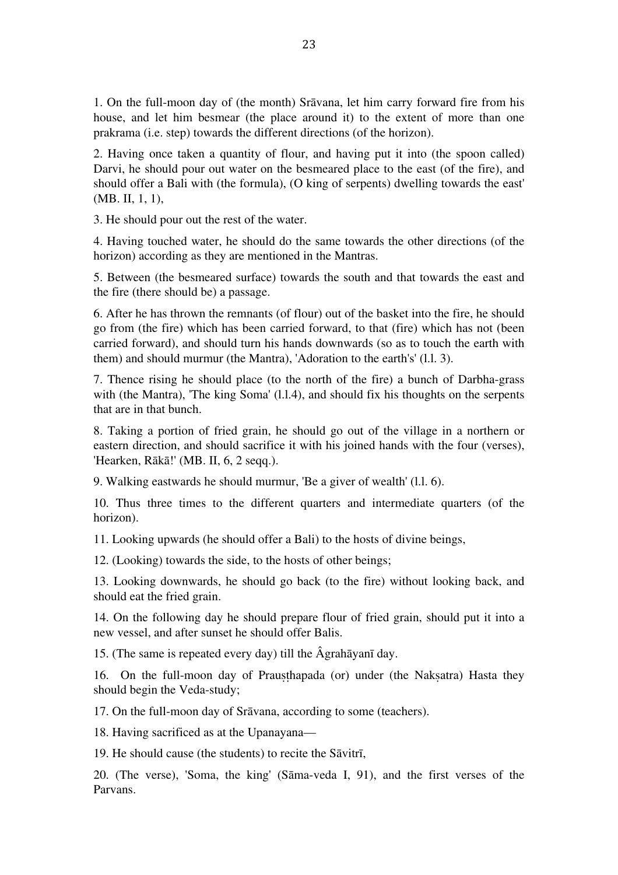1. On the full-moon day of (the month) Srāvana, let him carry forward fire from his house, and let him besmear (the place around it) to the extent of more than one prakrama (i.e. step) towards the different directions (of the horizon).

2. Having once taken a quantity of flour, and having put it into (the spoon called) Darvi, he should pour out water on the besmeared place to the east (of the fire), and should offer a Bali with (the formula), (O king of serpents) dwelling towards the east' (MB. II, 1, 1),

3. He should pour out the rest of the water.

4. Having touched water, he should do the same towards the other directions (of the horizon) according as they are mentioned in the Mantras.

5. Between (the besmeared surface) towards the south and that towards the east and the fire (there should be) a passage.

6. After he has thrown the remnants (of flour) out of the basket into the fire, he should go from (the fire) which has been carried forward, to that (fire) which has not (been carried forward), and should turn his hands downwards (so as to touch the earth with them) and should murmur (the Mantra), 'Adoration to the earth's' (l.l. 3).

7. Thence rising he should place (to the north of the fire) a bunch of Darbha-grass with (the Mantra), 'The king Soma' (1.1.4), and should fix his thoughts on the serpents that are in that bunch.

8. Taking a portion of fried grain, he should go out of the village in a northern or eastern direction, and should sacrifice it with his joined hands with the four (verses), 'Hearken, Rākā!' (MB. II, 6, 2 seqq.).

9. Walking eastwards he should murmur, 'Be a giver of wealth' (l.l. 6).

10. Thus three times to the different quarters and intermediate quarters (of the horizon).

11. Looking upwards (he should offer a Bali) to the hosts of divine beings,

12. (Looking) towards the side, to the hosts of other beings;

13. Looking downwards, he should go back (to the fire) without looking back, and should eat the fried grain.

14. On the following day he should prepare flour of fried grain, should put it into a new vessel, and after sunset he should offer Balis.

15. (The same is repeated every day) till the Âgrahāyanī day.

16. On the full-moon day of Prauṣṭhapada (or) under (the Nakṣatra) Hasta they should begin the Veda-study;

17. On the full-moon day of Srāvana, according to some (teachers).

18. Having sacrificed as at the Upanayana—

19. He should cause (the students) to recite the Sāvitrī,

20. (The verse), 'Soma, the king' (Sāma-veda I, 91), and the first verses of the Parvans.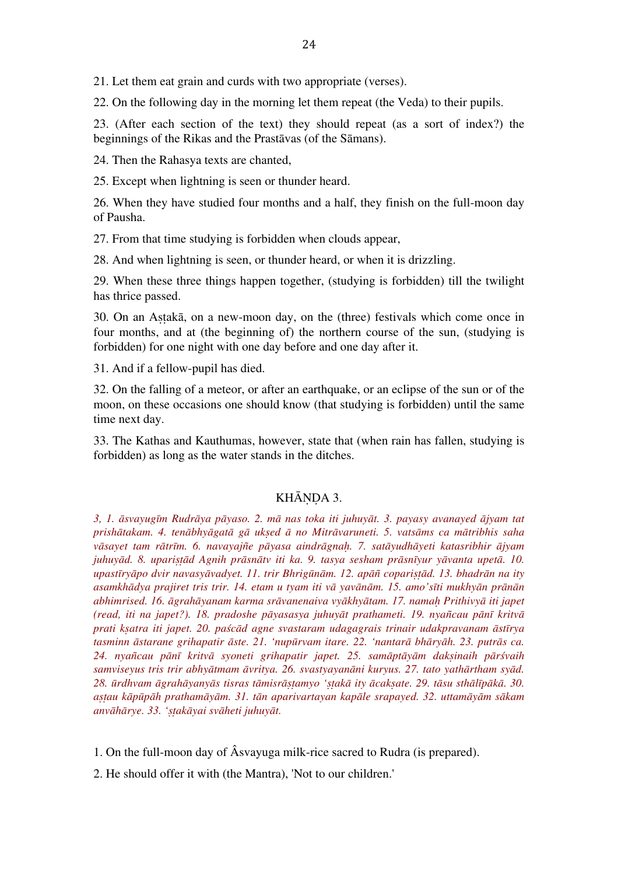21. Let them eat grain and curds with two appropriate (verses).

22. On the following day in the morning let them repeat (the Veda) to their pupils.

23. (After each section of the text) they should repeat (as a sort of index?) the beginnings of the Rikas and the Prastāvas (of the Sāmans).

24. Then the Rahasya texts are chanted,

25. Except when lightning is seen or thunder heard.

26. When they have studied four months and a half, they finish on the full-moon day of Pausha.

27. From that time studying is forbidden when clouds appear,

28. And when lightning is seen, or thunder heard, or when it is drizzling.

29. When these three things happen together, (studying is forbidden) till the twilight has thrice passed.

30. On an Aṣṭakā, on a new-moon day, on the (three) festivals which come once in four months, and at (the beginning of) the northern course of the sun, (studying is forbidden) for one night with one day before and one day after it.

31. And if a fellow-pupil has died.

32. On the falling of a meteor, or after an earthquake, or an eclipse of the sun or of the moon, on these occasions one should know (that studying is forbidden) until the same time next day.

33. The Kathas and Kauthumas, however, state that (when rain has fallen, studying is forbidden) as long as the water stands in the ditches.

## KHĀNDA 3.

*3, 1. āsvayugīm Rudrāya pāyaso. 2. mā nas toka iti juhuyāt. 3. payasy avanayed ājyam tat*  prishātakam. 4. tenābhyāgatā gā uksed ā no Mitrāvaruneti. 5. vatsāms ca mātribhis saha *vāsayet tam rātrīm. 6. navayajñe pāyasa aindrāgnaḥ. 7. satāyudhāyeti katasribhir ājyam juhuyād. 8. upariṣṭād Agnih prāsnātv iti ka. 9. tasya sesham prāsnīyur yāvanta upetā. 10. upastīryāpo dvir navasyāvadyet. 11. trir Bhrigūnām. 12. apāñ copariṣṭād. 13. bhadrān na ity asamkhādya prajiret tris trir. 14. etam u tyam iti vā yavānām. 15. amo'sīti mukhyān prānān abhimrised. 16. āgrahāyanam karma srāvanenaiva vyākhyātam. 17. namaḥ Prithivyā iti japet (read, iti na japet?). 18. pradoshe pāyasasya juhuyāt prathameti. 19. nyañcau pānī kritvā prati kṣatra iti japet. 20. paścād agne svastaram udagagrais trinair udakpravanam āstīrya tasminn āstarane grihapatir āste. 21. 'nupūrvam itare. 22. 'nantarā bhāryāh. 23. putrās ca. 24. nyañcau pānī kritvā syoneti grihapatir japet. 25. samāptāyām dakṣinaih pārśvaih samviseyus tris trir abhyātmam āvritya. 26. svastyayanāni kuryus. 27. tato yathārtham syād.*  28. ūrdhvam āgrahāyanyās tisras tāmisrāstamyo 'stakā ity ācaksate. 29. tāsu sthālīpākā. 30. aştau kāpūpāh prathamāyām. 31. tān aparivartayan kapāle srapayed. 32. uttamāyām sākam *anvāhārye. 33. 'ṣṭakāyai svāheti juhuyāt.*

1. On the full-moon day of Âsvayuga milk-rice sacred to Rudra (is prepared).

2. He should offer it with (the Mantra), 'Not to our children.'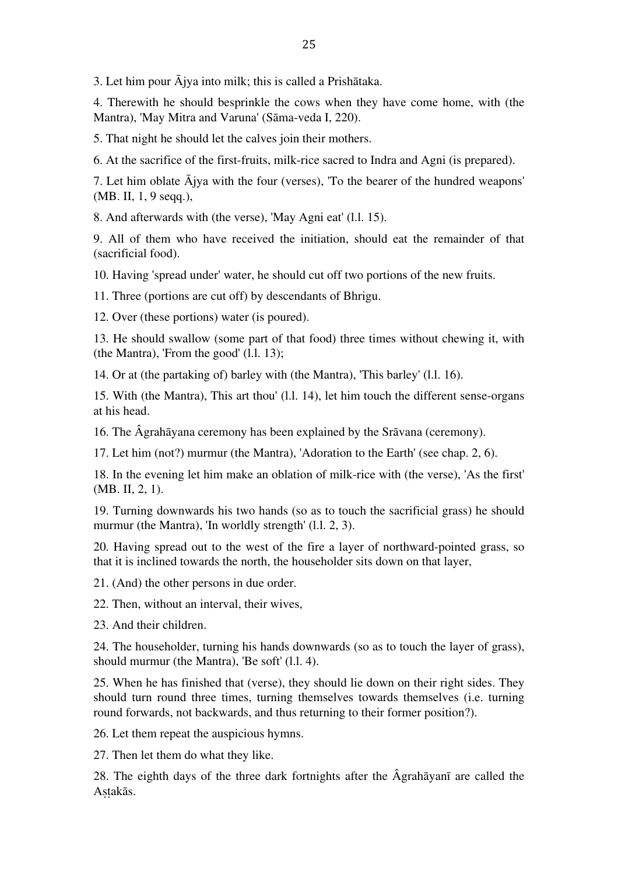3. Let him pour Ājya into milk; this is called a Prishātaka.

4. Therewith he should besprinkle the cows when they have come home, with (the Mantra), 'May Mitra and Varuna' (Sāma-veda I, 220).

5. That night he should let the calves join their mothers.

6. At the sacrifice of the first-fruits, milk-rice sacred to Indra and Agni (is prepared).

7. Let him oblate  $\overline{A}$  jya with the four (verses), 'To the bearer of the hundred weapons' (MB. II, 1, 9 seqq.),

8. And afterwards with (the verse), 'May Agni eat' (l.l. 15).

9. All of them who have received the initiation, should eat the remainder of that (sacrificial food).

10. Having 'spread under' water, he should cut off two portions of the new fruits.

11. Three (portions are cut off) by descendants of Bhrigu.

12. Over (these portions) water (is poured).

13. He should swallow (some part of that food) three times without chewing it, with (the Mantra), 'From the good' (l.l. 13);

14. Or at (the partaking of) barley with (the Mantra), 'This barley' (l.l. 16).

15. With (the Mantra), This art thou' (l.l. 14), let him touch the different sense-organs at his head.

16. The Âgrahāyana ceremony has been explained by the Srāvana (ceremony).

17. Let him (not?) murmur (the Mantra), 'Adoration to the Earth' (see chap. 2, 6).

18. In the evening let him make an oblation of milk-rice with (the verse), 'As the first' (MB. II, 2, 1).

19. Turning downwards his two hands (so as to touch the sacrificial grass) he should murmur (the Mantra), 'In worldly strength' (1.1, 2, 3).

20. Having spread out to the west of the fire a layer of northward-pointed grass, so that it is inclined towards the north, the householder sits down on that layer,

21. (And) the other persons in due order.

22. Then, without an interval, their wives,

23. And their children.

24. The householder, turning his hands downwards (so as to touch the layer of grass), should murmur (the Mantra), 'Be soft' (l.l. 4).

25. When he has finished that (verse), they should lie down on their right sides. They should turn round three times, turning themselves towards themselves (i.e. turning round forwards, not backwards, and thus returning to their former position?).

26. Let them repeat the auspicious hymns.

27. Then let them do what they like.

28. The eighth days of the three dark fortnights after the Âgrahāyanī are called the Astakās.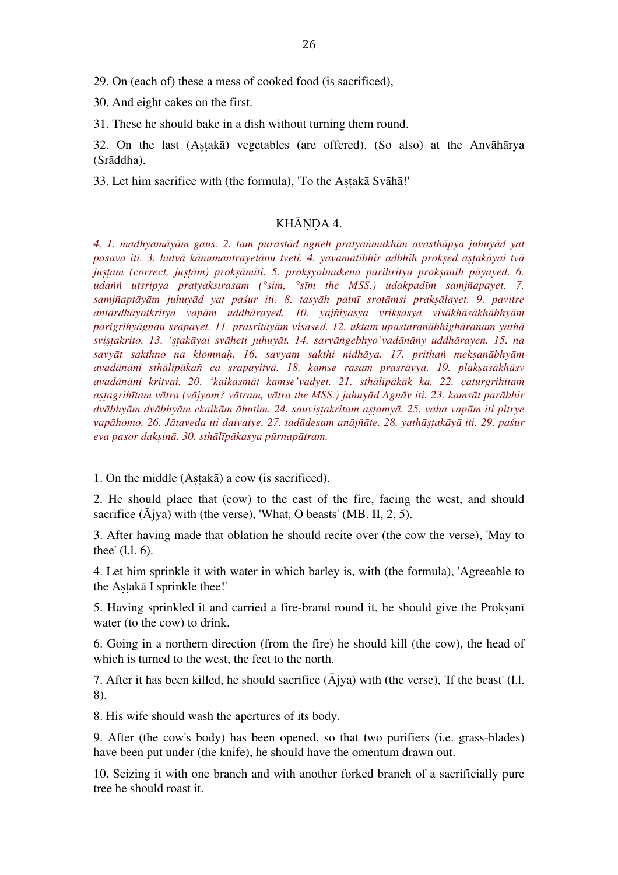29. On (each of) these a mess of cooked food (is sacrificed),

30. And eight cakes on the first.

31. These he should bake in a dish without turning them round.

32. On the last (Aṣṭakā) vegetables (are offered). (So also) at the Anvāhārya (Srāddha).

33. Let him sacrifice with (the formula), 'To the Astakā Svāhā!'

# KHĀNDA 4.

*4, 1. madhyamāyām gaus. 2. tam purastād agneh pratyaṅmukhīm avasthāpya juhuyād yat pasava iti. 3. hutvā kānumantrayetānu tveti. 4. yavamatībhir adbhih prokṣed aṣṭakāyai tvā juṣṭam (correct, juṣṭām) prokṣāmīti. 5. prokṣyolmukena parihritya prokṣanīh pāyayed. 6. udaṅṅ utsripya pratyaksirasam (°sim, °sīm the MSS.) udakpadīm samjñapayet. 7. samjñaptāyām juhuyād yat paśur iti. 8. tasyāh patnī srotāmsi prakṣālayet. 9. pavitre antardhāyotkritya vapām uddhārayed. 10. yajñiyasya vrikṣasya visākhāsākhābhyām parigrihyāgnau srapayet. 11. prasritāyām visased. 12. uktam upastaranābhighāranam yathā sviṣṭakrito. 13. 'ṣṭakāyai svāheti juhuyāt. 14. sarvāṅgebhyo'vadānāny uddhārayen. 15. na savyāt sakthno na klomnaḥ. 16. savyam sakthi nidhāya. 17. prithaṅ mekṣanābhyām*  avadānāni sthālīpākañ ca srapayitvā. 18. kamse rasam prasrāvya. 19. plaksasākhāsv *avadānāni kritvai. 20. 'kaikasmāt kamse'vadyet. 21. sthālīpākāk ka. 22. caturgrihītam*  astagrihītam vātra (vājyam? vātram, vātra the MSS.) juhuvād Agnāv iti. 23. kamsāt parābhir dvābhyām dvābhyām ekaikām āhutim. 24. sauvistakritam astamyā. 25. vaha vapām iti pitrye vapāhomo. 26. Jātaveda iti daivatve. 27. tadādesam anājñāte. 28. vathāstakāvā iti. 29. paśur *eva pasor dakṣinā. 30. sthālīpākasya pūrnapātram.*

1. On the middle (Aṣṭakā) a cow (is sacrificed).

2. He should place that (cow) to the east of the fire, facing the west, and should sacrifice  $(\bar{A}$ jya) with (the verse), 'What, O beasts' (MB. II, 2, 5).

3. After having made that oblation he should recite over (the cow the verse), 'May to thee' (l.l. 6).

4. Let him sprinkle it with water in which barley is, with (the formula), 'Agreeable to the Aṣṭakā I sprinkle thee!'

5. Having sprinkled it and carried a fire-brand round it, he should give the Proksan water (to the cow) to drink.

6. Going in a northern direction (from the fire) he should kill (the cow), the head of which is turned to the west, the feet to the north.

7. After it has been killed, he should sacrifice  $(\bar{A}$ jya) with (the verse), 'If the beast' (l.l. 8).

8. His wife should wash the apertures of its body.

9. After (the cow's body) has been opened, so that two purifiers (i.e. grass-blades) have been put under (the knife), he should have the omentum drawn out.

10. Seizing it with one branch and with another forked branch of a sacrificially pure tree he should roast it.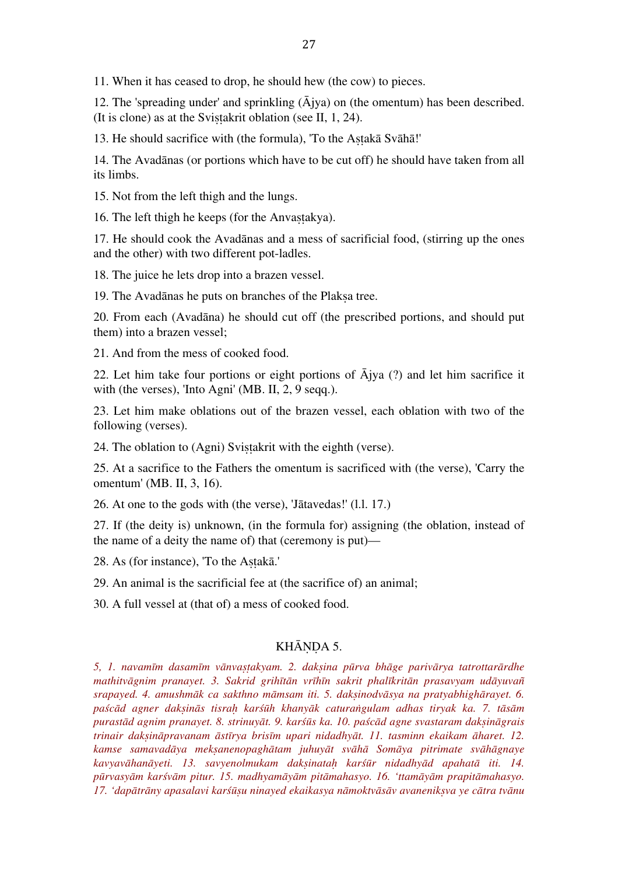11. When it has ceased to drop, he should hew (the cow) to pieces.

12. The 'spreading under' and sprinkling  $(\bar{A}$ jya) on (the omentum) has been described. (It is clone) as at the Svistakrit oblation (see II,  $1, 24$ ).

13. He should sacrifice with (the formula), 'To the Astakā Svāhā!'

14. The Avadānas (or portions which have to be cut off) he should have taken from all its limbs.

15. Not from the left thigh and the lungs.

16. The left thigh he keeps (for the Anvastakya).

17. He should cook the Avadānas and a mess of sacrificial food, (stirring up the ones and the other) with two different pot-ladles.

18. The juice he lets drop into a brazen vessel.

19. The Avadānas he puts on branches of the Plaksa tree.

20. From each (Avadāna) he should cut off (the prescribed portions, and should put them) into a brazen vessel;

21. And from the mess of cooked food.

22. Let him take four portions or eight portions of  $\bar{A}$ jya (?) and let him sacrifice it with (the verses), 'Into Agni' (MB. II, 2, 9 seqq.).

23. Let him make oblations out of the brazen vessel, each oblation with two of the following (verses).

24. The oblation to (Agni) Sviṣṭakrit with the eighth (verse).

25. At a sacrifice to the Fathers the omentum is sacrificed with (the verse), 'Carry the omentum' (MB. II, 3, 16).

26. At one to the gods with (the verse), 'Jātavedas!' (l.l. 17.)

27. If (the deity is) unknown, (in the formula for) assigning (the oblation, instead of the name of a deity the name of) that (ceremony is put)—

28. As (for instance), 'To the Astakā.'

29. An animal is the sacrificial fee at (the sacrifice of) an animal;

30. A full vessel at (that of) a mess of cooked food.

## KHĀNDA 5.

*5, 1. navamīm dasamīm vānvaṣṭakyam. 2. dakṣina pūrva bhāge parivārya tatrottarārdhe mathitvāgnim pranayet. 3. Sakrid grihītān vrīhīn sakrit phalīkritān prasavyam udāyuvañ srapayed. 4. amushmāk ca sakthno māmsam iti. 5. dakṣinodvāsya na pratyabhighārayet. 6.*  paścād agner daksinās tisrah karśūh khanyāk caturangulam adhas tiryak ka. 7. tāsām *purastād agnim pranayet. 8. strinuyāt. 9. karśūs ka. 10. paścād agne svastaram dakṣināgrais trinair dakṣināpravanam āstīrya brisīm upari nidadhyāt. 11. tasminn ekaikam āharet. 12. kamse samavadāya mekṣanenopaghātam juhuyāt svāhā Somāya pitrimate svāhāgnaye kavyavāhanāyeti. 13. savyenolmukam dakṣinataḥ karśūr nidadhyād apahatā iti. 14.*  pūrvasyām karśvām pitur. 15. madhyamāyām pitāmahasyo. 16. 'ttamāyām prapitāmahasyo. *17. 'dapātrāny apasalavi karśūṣu ninayed ekaikasya nāmoktvāsāv avanenikṣva ye cātra tvānu*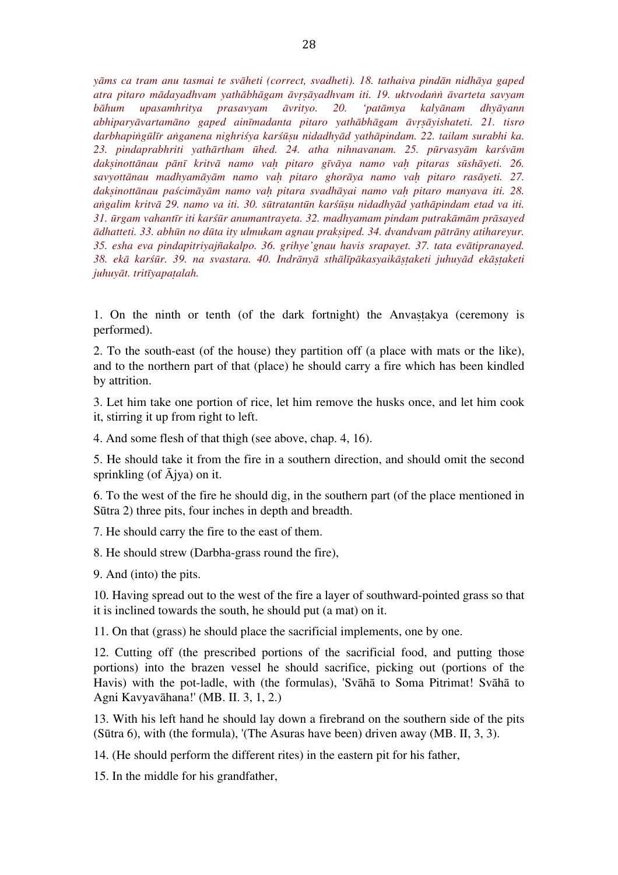*yāms ca tram anu tasmai te svāheti (correct, svadheti). 18. tathaiva pindān nidhāya gaped atra pitaro mādayadhvam yathābhāgam āvṛṣāyadhvam iti. 19. uktvodaṅṅ āvarteta savyam bāhum upasamhritya prasavyam āvrityo. 20. 'patāmya kalyānam dhyāyann abhiparyāvartamāno gaped ainīmadanta pitaro yathābhāgam āvṛṣāyishateti. 21. tisro darbhapiṅgūlīr aṅganena nighriśya karśūṣu nidadhyād yathāpindam. 22. tailam surabhi ka. 23. pindaprabhriti yathārtham ūhed. 24. atha nihnavanam. 25. pūrvasyām karśvām*  daksinottānau pānī kritvā namo vah pitaro gīvāya namo vah pitaras sūshāyeti. 26. *savyottānau madhyamāyām namo vaḥ pitaro ghorāya namo vaḥ pitaro rasāyeti. 27. dakṣinottānau paścimāyām namo vaḥ pitara svadhāyai namo vaḥ pitaro manyava iti. 28. aṅgalim kritvā 29. namo va iti. 30. sūtratantūn karśūṣu nidadhyād yathāpindam etad va iti. 31. ūrgam vahantīr iti karśūr anumantrayeta. 32. madhyamam pindam putrakāmām prāsayed ādhatteti. 33. abhūn no dūta ity ulmukam agnau prakṣiped. 34. dvandvam pātrāny atihareyur. 35. esha eva pindapitriyajñakalpo. 36. grihye'gnau havis srapayet. 37. tata evātipranayed.*  38. ekā karšūr. 39. na svastara. 40. Indrānvā sthālīpākasvaikāstaketi juhuvād ekāstaketi *juhuyāt. tritīyapaṭalah.*

1. On the ninth or tenth (of the dark fortnight) the Anvastakya (ceremony is performed).

2. To the south-east (of the house) they partition off (a place with mats or the like), and to the northern part of that (place) he should carry a fire which has been kindled by attrition.

3. Let him take one portion of rice, let him remove the husks once, and let him cook it, stirring it up from right to left.

4. And some flesh of that thigh (see above, chap. 4, 16).

5. He should take it from the fire in a southern direction, and should omit the second sprinkling (of  $\bar{A}$ jya) on it.

6. To the west of the fire he should dig, in the southern part (of the place mentioned in Sūtra 2) three pits, four inches in depth and breadth.

7. He should carry the fire to the east of them.

8. He should strew (Darbha-grass round the fire),

9. And (into) the pits.

10. Having spread out to the west of the fire a layer of southward-pointed grass so that it is inclined towards the south, he should put (a mat) on it.

11. On that (grass) he should place the sacrificial implements, one by one.

12. Cutting off (the prescribed portions of the sacrificial food, and putting those portions) into the brazen vessel he should sacrifice, picking out (portions of the Havis) with the pot-ladle, with (the formulas), 'Svāhā to Soma Pitrimat! Svāhā to Agni Kavyavāhana!' (MB. II. 3, 1, 2.)

13. With his left hand he should lay down a firebrand on the southern side of the pits (Sūtra 6), with (the formula), '(The Asuras have been) driven away (MB. II, 3, 3).

14. (He should perform the different rites) in the eastern pit for his father,

15. In the middle for his grandfather,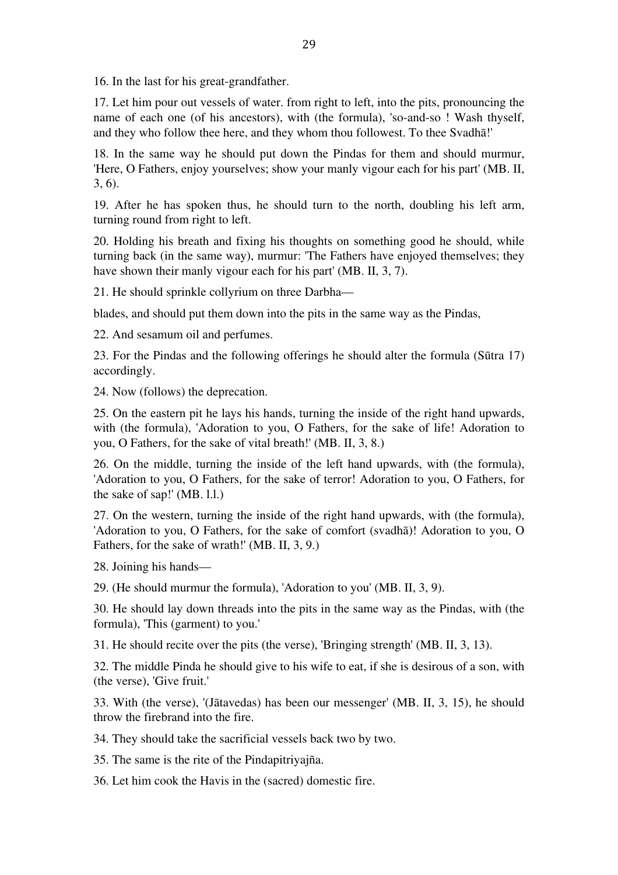16. In the last for his great-grandfather.

17. Let him pour out vessels of water. from right to left, into the pits, pronouncing the name of each one (of his ancestors), with (the formula), 'so-and-so ! Wash thyself, and they who follow thee here, and they whom thou followest. To thee Svadhā!'

18. In the same way he should put down the Pindas for them and should murmur, 'Here, O Fathers, enjoy yourselves; show your manly vigour each for his part' (MB. II, 3, 6).

19. After he has spoken thus, he should turn to the north, doubling his left arm, turning round from right to left.

20. Holding his breath and fixing his thoughts on something good he should, while turning back (in the same way), murmur: 'The Fathers have enjoyed themselves; they have shown their manly vigour each for his part' (MB. II, 3, 7).

21. He should sprinkle collyrium on three Darbha—

blades, and should put them down into the pits in the same way as the Pindas,

22. And sesamum oil and perfumes.

23. For the Pindas and the following offerings he should alter the formula (Sūtra 17) accordingly.

24. Now (follows) the deprecation.

25. On the eastern pit he lays his hands, turning the inside of the right hand upwards, with (the formula), 'Adoration to you, O Fathers, for the sake of life! Adoration to you, O Fathers, for the sake of vital breath!' (MB. II, 3, 8.)

26. On the middle, turning the inside of the left hand upwards, with (the formula), 'Adoration to you, O Fathers, for the sake of terror! Adoration to you, O Fathers, for the sake of sap!' (MB. l.l.)

27. On the western, turning the inside of the right hand upwards, with (the formula), 'Adoration to you, O Fathers, for the sake of comfort (svadhā)! Adoration to you, O Fathers, for the sake of wrath!' (MB. II, 3, 9.)

28. Joining his hands—

29. (He should murmur the formula), 'Adoration to you' (MB. II, 3, 9).

30. He should lay down threads into the pits in the same way as the Pindas, with (the formula), 'This (garment) to you.'

31. He should recite over the pits (the verse), 'Bringing strength' (MB. II, 3, 13).

32. The middle Pinda he should give to his wife to eat, if she is desirous of a son, with (the verse), 'Give fruit.'

33. With (the verse), '(Jātavedas) has been our messenger' (MB. II, 3, 15), he should throw the firebrand into the fire.

34. They should take the sacrificial vessels back two by two.

35. The same is the rite of the Pindapitriyajña.

36. Let him cook the Havis in the (sacred) domestic fire.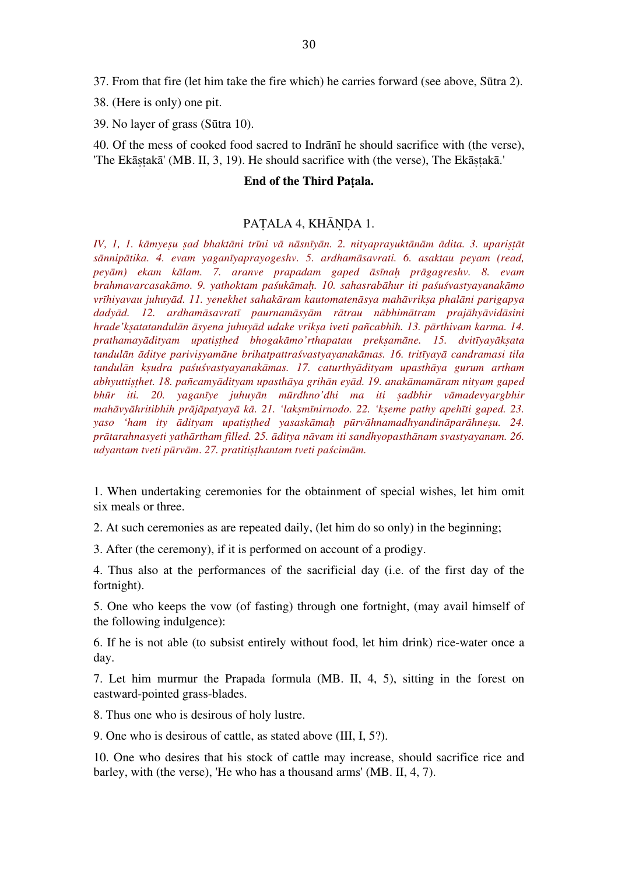37. From that fire (let him take the fire which) he carries forward (see above, Sūtra 2).

38. (Here is only) one pit.

39. No layer of grass (Sūtra 10).

40. Of the mess of cooked food sacred to Indrānī he should sacrifice with (the verse), 'The Ekāṣṭakā' (MB. II, 3, 19). He should sacrifice with (the verse), The Ekāṣṭakā.'

## **End of the Third Paṭala.**

## PATALA 4, KHĀNDA 1.

IV, 1, 1. kāmyesu sad bhaktāni trīni vā nāsnīyān. 2. nityaprayuktānām ādita. 3. uparistāt *sānnipātika. 4. evam yaganīyaprayogeshv. 5. ardhamāsavrati. 6. asaktau peyam (read, peyām) ekam kālam. 7. aranve prapadam gaped āsīnaḥ prāgagreshv. 8. evam brahmavarcasakāmo. 9. yathoktam paśukāmaḥ. 10. sahasrabāhur iti paśuśvastyayanakāmo vrīhiyavau juhuyād. 11. yenekhet sahakāram kautomatenāsya mahāvrikṣa phalāni parigapya*  dadyād. 12. ardhamāsavratī paurnamāsyām rātrau nābhimātram prajāhyāvidāsini *hrade'kṣatatandulān āsyena juhuyād udake vrikṣa iveti pañcabhih. 13. pārthivam karma. 14. prathamayādityam upatiṣṭhed bhogakāmo'rthapatau prekṣamāne. 15. dvitīyayākṣata tandulān āditye pariviṣyamāne brihatpattraśvastyayanakāmas. 16. tritīyayā candramasi tila tandulān kṣudra paśuśvastyayanakāmas. 17. caturthyādityam upasthāya gurum artham abhyuttiṣṭhet. 18. pañcamyādityam upasthāya grihān eyād. 19. anakāmamāram nityam gaped bhūr iti. 20. yaganīye juhuyān mūrdhno'dhi ma iti ṣadbhir vāmadevyargbhir*  mahāvyāhritibhih prājāpatyayā kā. 21. 'laksmīnirnodo. 22. 'kseme pathy apehīti gaped. 23. *yaso 'ham ity ādityam upatiṣṭhed yasaskāmaḥ pūrvāhnamadhyandināparāhneṣu. 24. prātarahnasyeti yathārtham filled. 25. āditya nāvam iti sandhyopasthānam svastyayanam. 26. udyantam tveti pūrvām*. *27. pratitiṣṭhantam tveti paścimām.*

1. When undertaking ceremonies for the obtainment of special wishes, let him omit six meals or three.

2. At such ceremonies as are repeated daily, (let him do so only) in the beginning;

3. After (the ceremony), if it is performed on account of a prodigy.

4. Thus also at the performances of the sacrificial day (i.e. of the first day of the fortnight).

5. One who keeps the vow (of fasting) through one fortnight, (may avail himself of the following indulgence):

6. If he is not able (to subsist entirely without food, let him drink) rice-water once a day.

7. Let him murmur the Prapada formula (MB. II, 4, 5), sitting in the forest on eastward-pointed grass-blades.

8. Thus one who is desirous of holy lustre.

9. One who is desirous of cattle, as stated above (III, I, 5?).

10. One who desires that his stock of cattle may increase, should sacrifice rice and barley, with (the verse), 'He who has a thousand arms' (MB. II, 4, 7).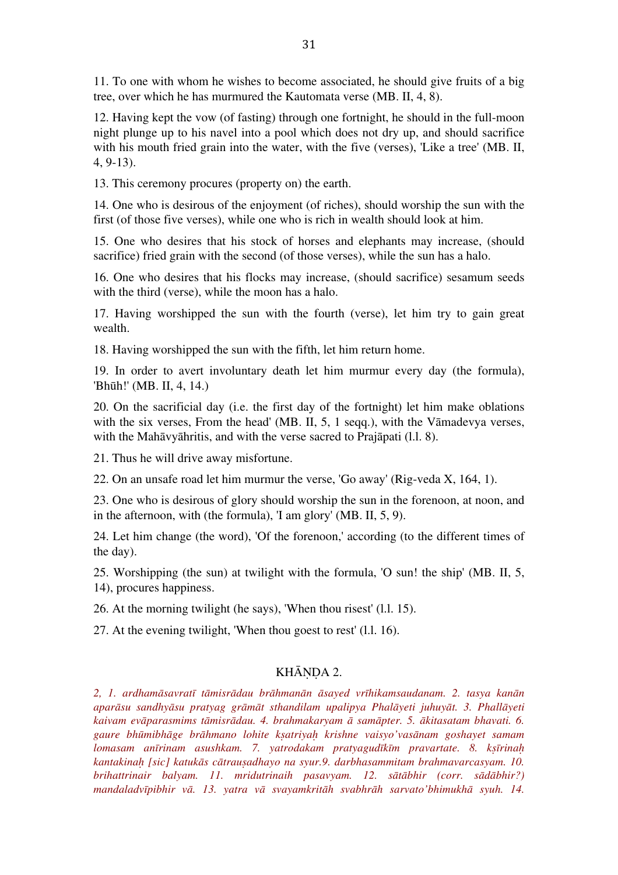11. To one with whom he wishes to become associated, he should give fruits of a big tree, over which he has murmured the Kautomata verse (MB. II, 4, 8).

12. Having kept the vow (of fasting) through one fortnight, he should in the full-moon night plunge up to his navel into a pool which does not dry up, and should sacrifice with his mouth fried grain into the water, with the five (verses), 'Like a tree' (MB. II, 4, 9-13).

13. This ceremony procures (property on) the earth.

14. One who is desirous of the enjoyment (of riches), should worship the sun with the first (of those five verses), while one who is rich in wealth should look at him.

15. One who desires that his stock of horses and elephants may increase, (should sacrifice) fried grain with the second (of those verses), while the sun has a halo.

16. One who desires that his flocks may increase, (should sacrifice) sesamum seeds with the third (verse), while the moon has a halo.

17. Having worshipped the sun with the fourth (verse), let him try to gain great wealth.

18. Having worshipped the sun with the fifth, let him return home.

19. In order to avert involuntary death let him murmur every day (the formula), 'Bhūh!' (MB. II, 4, 14.)

20. On the sacrificial day (i.e. the first day of the fortnight) let him make oblations with the six verses, From the head' (MB. II, 5, 1 seqq.), with the Vamadevya verses, with the Mahāvyāhritis, and with the verse sacred to Prajāpati (l.l. 8).

21. Thus he will drive away misfortune.

22. On an unsafe road let him murmur the verse, 'Go away' (Rig-veda X, 164, 1).

23. One who is desirous of glory should worship the sun in the forenoon, at noon, and in the afternoon, with (the formula), 'I am glory' (MB. II, 5, 9).

24. Let him change (the word), 'Of the forenoon,' according (to the different times of the day).

25. Worshipping (the sun) at twilight with the formula, 'O sun! the ship' (MB. II, 5, 14), procures happiness.

26. At the morning twilight (he says), 'When thou risest' (l.l. 15).

27. At the evening twilight, 'When thou goest to rest' (l.l. 16).

## KHĀNDA 2.

*2, 1. ardhamāsavratī tāmisrādau brāhmanān āsayed vrīhikamsaudanam. 2. tasya kanān aparāsu sandhyāsu pratyag grāmāt sthandilam upalipya Phalāyeti juhuyāt. 3. Phallāyeti kaivam evāparasmims tāmisrādau. 4. brahmakaryam ā samāpter. 5. ākitasatam bhavati. 6. gaure bhūmibhāge brāhmano lohite kṣatriyaḥ krishne vaisyo'vasānam goshayet samam lomasam anīrinam asushkam. 7. yatrodakam pratyagudīkīm pravartate. 8. kṣīrinaḥ kantakinaḥ [sic] katukās cātrauṣadhayo na syur.9. darbhasammitam brahmavarcasyam. 10. brihattrinair balyam. 11. mridutrinaih pasavyam. 12. sātābhir (corr. sādābhir?) mandaladvīpibhir vā. 13. yatra vā svayamkritāh svabhrāh sarvato'bhimukhā syuh. 14.*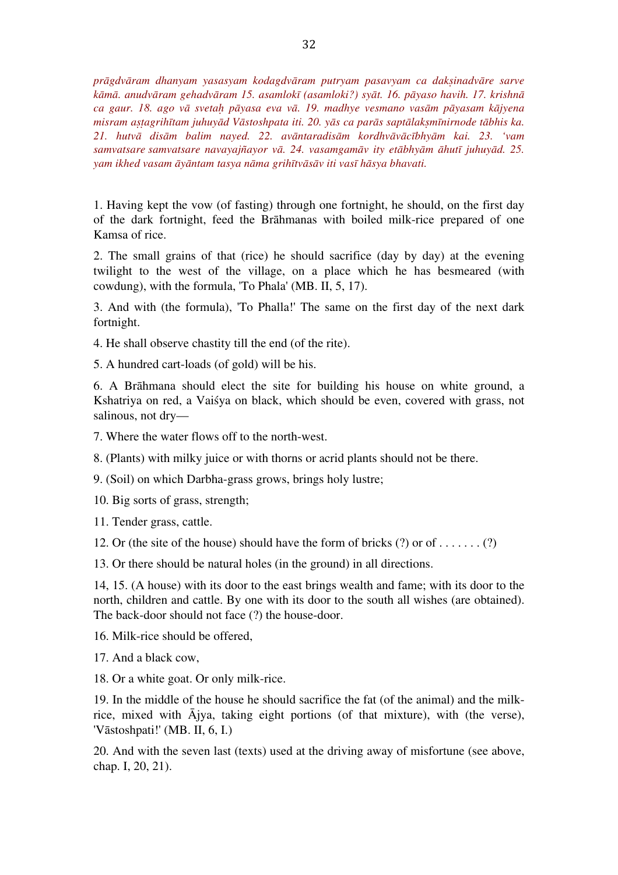*prāgdvāram dhanyam yasasyam kodagdvāram putryam pasavyam ca dakṣinadvāre sarve kāmā. anudvāram gehadvāram 15. asamlokī (asamloki?) syāt. 16. pāyaso havih. 17. krishnā ca gaur. 18. ago vā svetaḥ pāyasa eva vā. 19. madhye vesmano vasām pāyasam kājyena*  misram astagrihītam juhuvād Vāstoshpata iti. 20. vās ca parās saptālaksmīnirnode tābhis ka. *21. hutvā disām balim nayed. 22. avāntaradisām kordhvāvācībhyām kai. 23. 'vam samvatsare samvatsare navayajñayor vā. 24. vasamgamāv ity etābhyām āhutī juhuyād. 25. yam ikhed vasam āyāntam tasya nāma grihītvāsāv iti vasī hāsya bhavati.*

1. Having kept the vow (of fasting) through one fortnight, he should, on the first day of the dark fortnight, feed the Brāhmanas with boiled milk-rice prepared of one Kamsa of rice.

2. The small grains of that (rice) he should sacrifice (day by day) at the evening twilight to the west of the village, on a place which he has besmeared (with cowdung), with the formula, 'To Phala' (MB. II, 5, 17).

3. And with (the formula), 'To Phalla!' The same on the first day of the next dark fortnight.

4. He shall observe chastity till the end (of the rite).

5. A hundred cart-loads (of gold) will be his.

6. A Brāhmana should elect the site for building his house on white ground, a Kshatriya on red, a Vaiśya on black, which should be even, covered with grass, not salinous, not dry—

7. Where the water flows off to the north-west.

8. (Plants) with milky juice or with thorns or acrid plants should not be there.

9. (Soil) on which Darbha-grass grows, brings holy lustre;

10. Big sorts of grass, strength;

11. Tender grass, cattle.

12. Or (the site of the house) should have the form of bricks  $(?)$  or of  $(1, \ldots, ?)$ 

13. Or there should be natural holes (in the ground) in all directions.

14, 15. (A house) with its door to the east brings wealth and fame; with its door to the north, children and cattle. By one with its door to the south all wishes (are obtained). The back-door should not face (?) the house-door.

16. Milk-rice should be offered,

17. And a black cow,

18. Or a white goat. Or only milk-rice.

19. In the middle of the house he should sacrifice the fat (of the animal) and the milkrice, mixed with Ājya, taking eight portions (of that mixture), with (the verse), 'Vāstoshpati!' (MB. II, 6, I.)

20. And with the seven last (texts) used at the driving away of misfortune (see above, chap. I, 20, 21).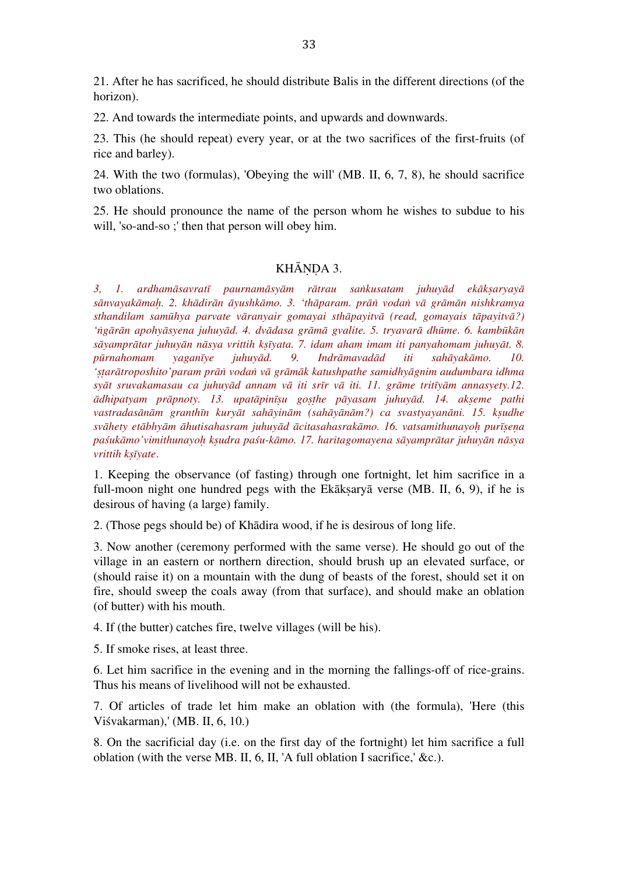21. After he has sacrificed, he should distribute Balis in the different directions (of the horizon).

22. And towards the intermediate points, and upwards and downwards.

23. This (he should repeat) every year, or at the two sacrifices of the first-fruits (of rice and barley).

24. With the two (formulas), 'Obeying the will' (MB. II, 6, 7, 8), he should sacrifice two oblations.

25. He should pronounce the name of the person whom he wishes to subdue to his will, 'so-and-so ;' then that person will obey him.

# KHĀNDA 3.

*3, 1. ardhamāsavratī paurnamāsyām rātrau saṅkusatam juhuyād ekākṣaryayā* sānvayakāmah. 2. khādirān āyushkāmo. 3. 'thāparam. prān vodan vā grāmān nishkramya *sthandilam samūhya parvate vāranyair gomayai sthāpayitvā (read, gomayais tāpayitvā?)*  'ngārān apohyāsyena juhuyād. 4. dvādasa grāmā gvalite. 5. tryavarā dhūme. 6. kambūkān *sāyamprātar juhuyān nāsya vrittih kṣīyata. 7. idam aham imam iti panyahomam juhuyāt. 8. pūrnahomam yaganīye juhuyād. 9. Indrāmavadād iti sahāyakāmo. 10. 'ṣṭarātroposhito'param prāṅ vodaṅ vā grāmāk katushpathe samidhyāgnim audumbara idhma syāt sruvakamasau ca juhuyād annam vā iti srīr vā iti. 11. grāme tritīyām annasyety.12. ādhipatyam prāpnoty. 13. upatāpinīṣu goṣṭhe pāyasam juhuyād. 14. akṣeme pathi*  vastradasānām granthīn kuryāt sahāyinām (sahāyānām?) ca svastyayanāni. 15. ksudhe svāhety etābhyām āhutisahasram juhuyād ācitasahasrakāmo. 16. vatsamithunayoh purīsena paśukāmo'vimithunayoh ksudra paśu-kāmo. 17. haritagomayena sāyamprātar juhuyān nāsya *vrittih kṣīyate*.

1. Keeping the observance (of fasting) through one fortnight, let him sacrifice in a full-moon night one hundred pegs with the Ekāksaryā verse (MB. II, 6, 9), if he is desirous of having (a large) family.

2. (Those pegs should be) of Khādira wood, if he is desirous of long life.

3. Now another (ceremony performed with the same verse). He should go out of the village in an eastern or northern direction, should brush up an elevated surface, or (should raise it) on a mountain with the dung of beasts of the forest, should set it on fire, should sweep the coals away (from that surface), and should make an oblation (of butter) with his mouth.

4. If (the butter) catches fire, twelve villages (will be his).

5. If smoke rises, at least three.

6. Let him sacrifice in the evening and in the morning the fallings-off of rice-grains. Thus his means of livelihood will not be exhausted.

7. Of articles of trade let him make an oblation with (the formula), 'Here (this Viśvakarman),' (MB. II, 6, 10.)

8. On the sacrificial day (i.e. on the first day of the fortnight) let him sacrifice a full oblation (with the verse MB. II, 6, II, 'A full oblation I sacrifice,' &c.).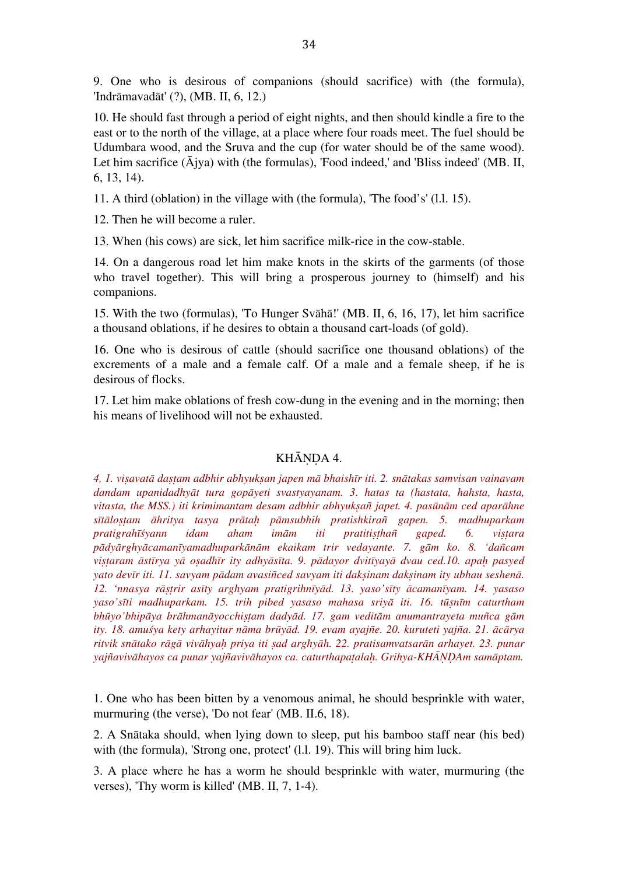9. One who is desirous of companions (should sacrifice) with (the formula), 'Indrāmavadāt' (?), (MB. II, 6, 12.)

10. He should fast through a period of eight nights, and then should kindle a fire to the east or to the north of the village, at a place where four roads meet. The fuel should be Udumbara wood, and the Sruva and the cup (for water should be of the same wood). Let him sacrifice  $(\bar{A}$ jya) with (the formulas), 'Food indeed,' and 'Bliss indeed' (MB. II, 6, 13, 14).

11. A third (oblation) in the village with (the formula), 'The food's' (l.l. 15).

12. Then he will become a ruler.

13. When (his cows) are sick, let him sacrifice milk-rice in the cow-stable.

14. On a dangerous road let him make knots in the skirts of the garments (of those who travel together). This will bring a prosperous journey to (himself) and his companions.

15. With the two (formulas), 'To Hunger Svāhā!' (MB. II, 6, 16, 17), let him sacrifice a thousand oblations, if he desires to obtain a thousand cart-loads (of gold).

16. One who is desirous of cattle (should sacrifice one thousand oblations) of the excrements of a male and a female calf. Of a male and a female sheep, if he is desirous of flocks.

17. Let him make oblations of fresh cow-dung in the evening and in the morning; then his means of livelihood will not be exhausted.

# KHĀNDA 4.

*4, 1. viṣavatā daṣṭam adbhir abhyukṣan japen mā bhaishīr iti. 2. snātakas samvisan vainavam dandam upanidadhyāt tura gopāyeti svastyayanam. 3. hatas ta (hastata, hahsta, hasta, vitasta, the MSS.) iti krimimantam desam adbhir abhyukṣañ japet. 4. pasūnām ced aparāhne sītāloṣṭam āhritya tasya prātaḥ pāmsubhih pratishkirañ gapen. 5. madhuparkam pratigrahīśyann idam aham imām iti pratitiṣṭhañ gaped. 6. viṣṭara pādyārghyācamanīyamadhuparkānām ekaikam trir vedayante. 7. gām ko. 8. 'dañcam*  vistaram āstīrya yā osadhīr ity adhyāsīta. 9. pādayor dvitīyayā dvau ced.10. apah pasyed *yato devīr iti. 11. savyam pādam avasiñced savyam iti dakṣinam dakṣinam ity ubhau seshenā. 12. 'nnasya rāṣṭrir asīty arghyam pratigrihnīyād. 13. yaso'sīty ācamanīyam. 14. yasaso yaso'sīti madhuparkam. 15. trih pibed yasaso mahasa sriyā iti. 16. tūṣnīm caturtham bhūyo'bhipāya brāhmanāyocchiṣṭam dadyād. 17. gam veditām anumantrayeta muñca gām ity. 18. amuśya kety arhayitur nāma brūyād. 19. evam ayajñe. 20. kuruteti yajña. 21. ācārya ritvik snātako rāgā vivāhyaḥ priya iti ṣad arghyāh. 22. pratisamvatsarān arhayet. 23. punar yajñavivāhayos ca punar yajñavivāhayos ca. caturthapaṭalaḥ. Grihya-KHĀṆḌAm samāptam.*

1. One who has been bitten by a venomous animal, he should besprinkle with water, murmuring (the verse), 'Do not fear' (MB. II.6, 18).

2. A Snātaka should, when lying down to sleep, put his bamboo staff near (his bed) with (the formula), 'Strong one, protect' (1.1. 19). This will bring him luck.

3. A place where he has a worm he should besprinkle with water, murmuring (the verses), 'Thy worm is killed' (MB. II, 7, 1-4).